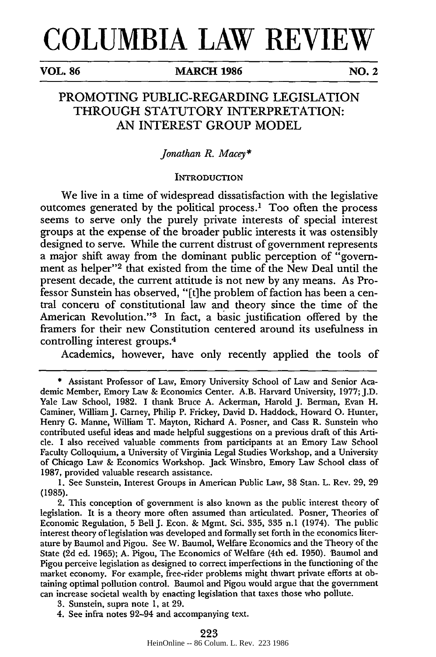# **COLUMBIA LAW REVIEW**

**VOL. 86 MARCH 1986 NO. 2**

# PROMOTING PUBLIC-REGARDING LEGISLATION THROUGH STATUTORY INTERPRETATION: **AN** INTEREST GROUP MODEL

## *Jonathan R. Macey\**

#### **INTRODUCTION**

We live in a time of widespread dissatisfaction with the legislative outcomes generated **by** the political process.' Too often the process seems to serve only the purely private interests of special interest groups at the expense of the broader public interests it was ostensibly designed to serve. While the current distrust of government represents a major shift away from the dominant public perception of "government as helper"<sup>2</sup> that existed from the time of the New Deal until the present decade, the current attitude is not new **by** any means. As Professor Sunstein has observed, "[t]he problem of faction has been a central concern of constitutional law and theory since the time of the American Revolution."<sup>3</sup> In fact, a basic justification offered by the framers for their new Constitution centered around its usefulness in controlling interest groups.<sup>4</sup>

Academics, however, have only recently applied the tools of

**1.** See Sunstein, Interest Groups in American Public Law, 38 Stan. L. Rev. **29, 29 (1985).**

3. Sunstein, supra note 1, at 29.

4. See infra notes 92-94 and accompanying text.

<sup>\*</sup> Assistant Professor of Law, Emory University School of Law and Senior Academic Member, Emory Law & Economics Center. A.B. Harvard University, **1977; J.D.** Yale Law School, **1982.** I thank Bruce **A.** Ackerman, Harold **J.** Berman, Evan H. Caminer, William **J.** Carney, Philip P. Frickey, David **D.** Haddock, Howard **0.** Hunter, Henry **G.** Manne, William T. Mayton, Richard **A.** Posner, and Cass R. Sunstein who contributed useful ideas and made helpful suggestions on a previous draft of this Article. I also received valuable comments from participants at an Emory Law School Faculty Colloquium, a University of Virginia Legal Studies Workshop, and a University of Chicago Law & Economics Workshop. Jack Winsbro, Emory Law School class of **1987,** provided valuable research assistance.

<sup>2.</sup> This conception of government is also known as the public interest theory of legislation. It is a theory more often assumed than articulated. Posner, Theories of Economic Regulation, **5** Bell **J.** Econ. & Mgmt. Sci. 335, **335 n.1** (1974). The public interest theory of legislation was developed and formally set forth in the economics literature **by** Baumol and Pigou. See W. Baumol, Welfare Economics and the Theory of the State **(2d** ed. **1965); A.** Pigou, The Economics of Welfare (4th ed. **1950).** Baumol and Pigou perceive legislation as designed to correct imperfections in the functioning of the market economy. For example, free-rider problems might thwart private efforts at obtaining optimal pollution control. Baumol and Pigou would argue that the government can increase societal wealth by enacting legislation that taxes those who pollute.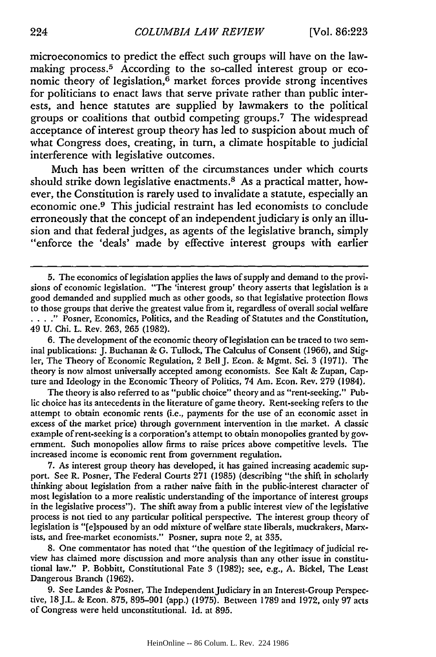microeconomics to predict the effect such groups will have on the lawmaking process.<sup>5</sup> According to the so-called interest group or economic theory of legislation, $6$  market forces provide strong incentives for politicians to enact laws that serve private rather than public interests, and hence statutes are supplied by lawmakers to the political groups or coalitions that outbid competing groups.<sup>7</sup> The widespread acceptance of interest group theory has led to suspicion about much of what Congress does, creating, in turn, a climate hospitable to judicial interference with legislative outcomes.

Much has been written of the circumstances under which courts should strike down legislative enactments. $8$  As a practical matter, however, the Constitution is rarely used to invalidate a statute, especially an economic one.9 This judicial restraint has led economists to conclude erroneously that the concept of an independent judiciary is only an illusion and that federal judges, as agents of the legislative branch, simply "enforce the 'deals' made by effective interest groups with earlier

6. The development of the economic theory of legislation can be traced to two seminal publications: J. Buchanan & G. Tullock, The Calculus of Consent (1966), and Stigler, The Theory of Economic Regulation, 2 BellJ. Econ. & Mgmt. Sci. 3 (1971). The theory is now almost universally accepted among economists. See Kalt & Zupan, Capture and Ideology in the Economic Theory of Politics, 74 Am. Econ. Rev. 279 (1984).

The theory is also referred to as "public choice" theory and as "rent-seeking." Public choice has its antecedents in the literature of game theory. Rent-seeking refers to the attempt to obtain economic rents (i.e., payments for the use of an economic asset in excess of the market price) through government intervention in the market. **A** classic example of rent-seeking is a corporation's attempt to obtain monopolies granted by government. Such monopolies allow firms to raise prices above competitive levels. The increased income is economic rent from government regulation.

7. As interest group theory has developed, it has gained increasing academic support. See R. Posner, The Federal Courts 271 (1985) (describing "the shift in scholarly thinking about legislation from a rather naive faith in the public-interest character of most legislation to a more realistic understanding of the importance of interest groups in the legislative process"). The shift away from a public interest view of the legislative process is not tied to any particular political perspective. The interest group theory of legislation is "[e]spoused by an odd mixture of welfare state liberals, muckrakers, Marxists, and free-market economists." Posner, supra note 2, at 335.

8. One commentator has noted that "the question of the legitimacy of judicial review has claimed more discussion and more analysis than any other issue in constitutional law." P. Bobbitt, Constitutional Fate 3 (1982); see, e.g., A. Bickel, The Least Dangerous Branch (1962).

9. See Landes & Posner, The Independent Judiciary in an Interest-Group Perspective, 18J.L. & Econ. 875, 895-901 (app.) **(1975).** Between **1789** and 1972, only **97** acts of Congress were held unconstitutional. Id. at 895.

<sup>5.</sup> The economics of legislation applies the laws of supply and demand to the provisions of economic legislation. "The 'interest group' theory asserts that legislation is **a** good demanded and supplied much as other goods, so that legislative protection flows to those groups that derive the greatest value from it, regardless of overall social welfare **... "** Posner, Economics, Politics, and the Reading of Statutes and the Constitution, 49 U. Chi. L. Rev. 263, 265 (1982).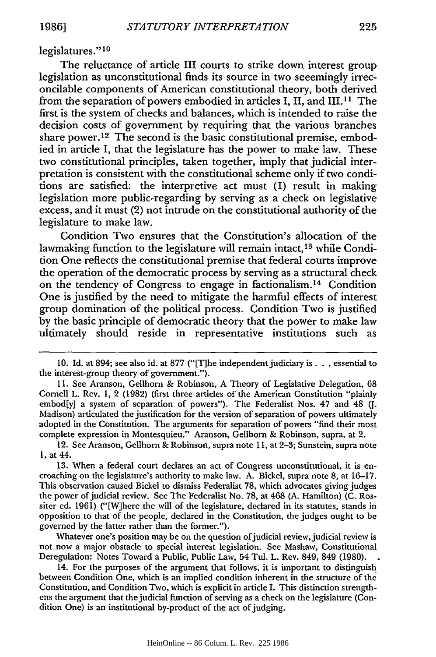## legislatures." **' 0**

The reluctance of article III courts to strike down interest group legislation as unconstitutional finds its source in two seeemingly irreconcilable components of American constitutional theory, both derived from the separation of powers embodied in articles I, II, and **III.1I** The first is the system of checks and balances, which is intended to raise the decision costs of government **by** requiring that the various branches share power.<sup>12</sup> The second is the basic constitutional premise, embodied in article I, that the legislature has the power to make law. These two constitutional principles, taken together, imply that judicial interpretation is consistent with the constitutional scheme only if two conditions are satisfied: the interpretive act must **(1)** result in making legislation more public-regarding **by** serving as a check on legislative excess, and it must (2) not intrude on the constitutional authority of the legislature to make law.

Condition Two ensures that the Constitution's allocation of the lawmaking function to the legislature will remain intact,<sup>13</sup> while Condition One reflects the constitutional premise that federal courts improve the operation of the democratic process **by** serving as a structural check on the tendency of Congress to engage in factionalism.14 Condition One is justified **by** the need to mitigate the harmful effects of interest group domination of the political process. Condition Two is justified **by** the basic principle of democratic theory that the power to make law ultimately should reside in representative institutions such as

12. See Aranson, Gellhorn & Robinson, supra note 11, at 2-3; Sunstein, supra note **1,** at 44.

13. When a federal court declares an act of Congress unconstitutional, it is encroaching on the legislature's authority to make law. A. Bickel, supra note 8, at 16-17. This observation caused Bickel to dismiss Federalist 78, which advocates giving judges the power ofjudicial review. See The Federalist No. **78,** at 468 (A. Hamilton) (C. Rossiter ed. 1961) ("[W]here the will of the legislature, declared in its statutes, stands in opposition to that of the people, declared in the Constitution, the judges ought to be governed by the latter rather than the former.").

Whatever one's position may be on the question of judicial review, judicial review is not now a major obstacle to special interest legislation. See Mashaw, Constitutional Deregulation: Notes Toward a Public, Public Law, 54 Tul. L. Rev. 849, 849 (1980).

14. For the purposes of the argument that follows, it is important to distinguish between Condition One, which is an implied condition inherent in the structure of the Constitution, and Condition Two, which is explicit in article I. This distinction strengthens the argument that the judicial function of serving as a check on the legislature (Condition One) is an institutional by-product of the act of judging.

**<sup>10.</sup>** Id. at 894; see also id. at 877 ("[The independent judiciary is **...** essential to the interest-group theory of government.").

<sup>11.</sup> See Aranson, Gellhorn & Robinson, A Theory of Legislative Delegation, 68 Cornell L. Rev. 1, 2 (1982) (first three articles of the American Constitution "plainly embod[y] a system of separation of powers"). The Federalist Nos. 47 and 48 (J. Madison) articulated the justification for the version of separation of powers ultimately adopted in the Constitution. The arguments for separation of powers "find their most complete expression in Montesquieu." Aranson, Gellhorn & Robinson, supra, at 2.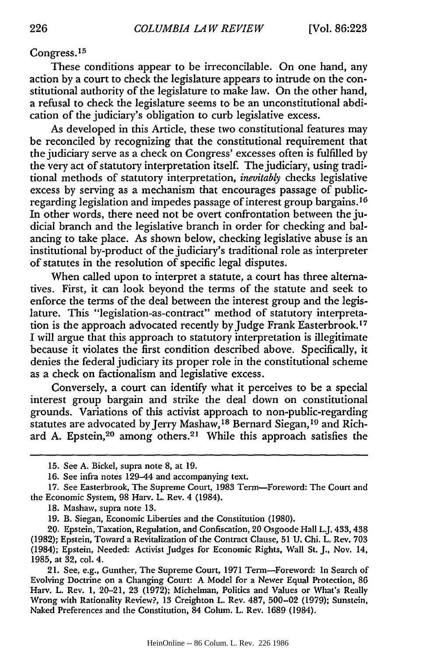### Congress. **<sup>1</sup> <sup>5</sup>**

These conditions appear to be irreconcilable. On one hand, any action by a court to check the legislature appears to intrude on the constitutional authority of the legislature to make law. On the other hand, a refusal to check the legislature seems to be an unconstitutional abdication of the judiciary's obligation to curb legislative excess.

As developed in this Article, these two constitutional features may be reconciled by recognizing that the constitutional requirement that the judiciary serve as a check on Congress' excesses often is fulfilled by the very act of statutory interpretation itself. The judiciary, using traditional methods of statutory interpretation, *inevitably* checks legislative excess by serving as a mechanism that encourages passage of publicregarding legislation and impedes passage of interest group bargains. 16 In other words, there need not be overt confrontation between the judicial branch and the legislative branch in order for checking and balancing to take place. As shown below, checking legislative abuse is an institutional by-product of the judiciary's traditional role as interpreter of statutes in the resolution of specific legal disputes.

When called upon to interpret a statute, a court has three alternatives. First, it can look beyond the terms of the statute and seek to enforce the terms of the deal between the interest group and the legislature. This "legislation-as-contract" method of statutory interpretation is the approach advocated recently by Judge Frank Easterbrook.17 I will argue that this approach to statutory interpretation is illegitimate because it violates the first condition described above. Specifically, it denies the federal judiciary its proper role in the constitutional scheme as a check on factionalism and legislative excess.

Conversely, a court can identify what it perceives to be a special interest group bargain and strike the deal down on constitutional grounds. Variations of this activist approach to non-public-regarding statutes are advocated by Jerry Mashaw,18 Bernard Siegan, 19 and Richard A. Epstein,<sup>20</sup> among others.<sup>21</sup> While this approach satisfies the

<sup>15.</sup> See A. Bickel, supra note 8, at 19.

<sup>16.</sup> See infra notes 129-44 and accompanying text.

<sup>17.</sup> See Easterbrook, The Supreme Court, 1983 Term-Foreword: The Court and the Economic System, 98 Harv. L. Rev. 4 (1984).

<sup>18.</sup> Mashaw, supra note 13.

<sup>19.</sup> B. Siegan, Economic Liberties and the Constitution (1980).

<sup>20.</sup> Epstein, Taxation, Regulation, and Confiscation, 20 Osgoode Hall L.J. 433, 438 (1982); Epstein, Toward a Revitalization of the Contract Clause, 51 U. Chi. L. Rev. 703 (1984); Epstein, Needed: Activist Judges for Economic Rights, Wall St. J., Nov. 14, 1985, at **32,** col. 4.

<sup>21.</sup> See, e.g., Gunther, The Supreme Court, 1971 Term-Foreword: In Search of Evolving Doctrine on a Changing Court: A Model for a Newer Equal Protection, 86 Harv. L. Rev. **1,** 20-21, 23 (1972); Michelman, Politics and Values or What's Really Wrong with Rationality Review?, 13 Creighton L. Rev. 487, 500-02 (1979); Sunstein, Naked Preferences and the Constitution, 84 Colum. L. Rev. 1689 (1984).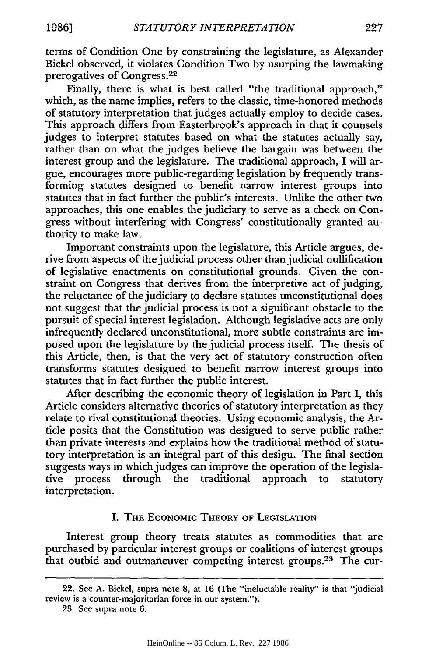terms of Condition One by constraining the legislature, as Alexander Bickel observed, it violates Condition Two by usurping the lawmaking prerogatives of Congress. <sup>22</sup>

Finally, there is what is best called "the traditional approach," which, as the name implies, refers to the classic, time-honored methods of statutory interpretation that judges actually employ to decide cases. This approach differs from Easterbrook's approach in that it counsels judges to interpret statutes based on what the statutes actually say, rather than on what the judges believe the bargain was between the interest group and the legislature. The traditional approach, I will argue, encourages more public-regarding legislation by frequently transforming statutes designed to benefit narrow interest groups into statutes that in fact further the public's interests. Unlike the other two approaches, this one enables the judiciary to serve as a check on Congress without interfering with Congress' constitutionally granted authority to make law.

Important constraints upon the legislature, this Article argues, derive from aspects of the judicial process other than judicial nullification of legislative enactments on constitutional grounds. Given the constraint on Congress that derives from the interpretive act of judging, the reluctance of the judiciary to declare statutes unconstitutional does not suggest that the judicial process is not a significant obstacle to the pursuit of special interest legislation. Although legislative acts are only infrequently declared unconstitutional, more subtle constraints are imposed upon the legislature by the judicial process itself. The thesis of this Article, then, is that the very act of statutory construction often transforms statutes designed to benefit narrow interest groups into statutes that in fact further the public interest.

After describing the economic theory of legislation in Part I, this Article considers alternative theories of statutory interpretation as they relate to rival constitutional theories. Using economic analysis, the Article posits that the Constitution was designed to serve public rather than private interests and explains how the traditional method of statutory interpretation is an integral part of this design. The final section suggests ways in which judges can improve the operation of the legislative process through the traditional approach to statutory interpretation.

## I. THE ECONOMIC THEORY OF LEGISLATION

Interest group theory treats statutes as commodities that are purchased by particular interest groups or coalitions of interest groups that outbid and outmaneuver competing interest groups. 23 The cur-

<sup>22.</sup> See A. Bickel, supra note 8, at 16 (The "ineluctable reality" is that "judicial review is a counter-majoritarian force in our system.").

<sup>23.</sup> See supra note 6.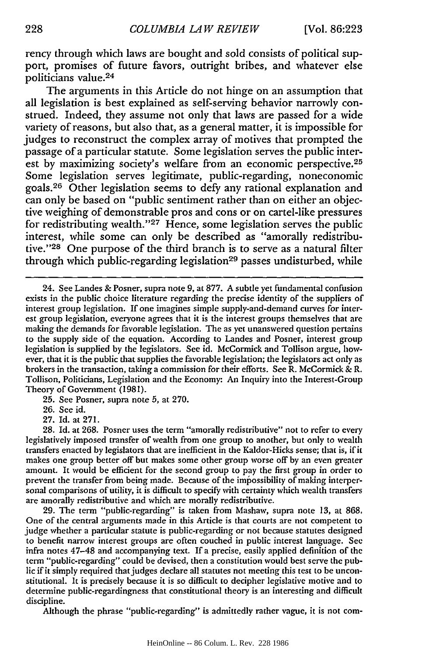rency through which laws are bought and sold consists of political support, promises of future favors, outright bribes, and whatever else politicians value.<sup>24</sup>

The arguments in this Article do not hinge on an assumption that all legislation is best explained as self-serving behavior narrowly construed. Indeed, they assume not only that laws are passed for a wide variety of reasons, but also that, as a general matter, it is impossible for judges to reconstruct the complex array of motives that prompted the passage of a particular statute. Some legislation serves the public interest by maximizing society's welfare from an economic perspective.<sup>25</sup> Some legislation serves legitimate, public-regarding, noneconomic goals.<sup>26</sup> Other legislation seems to defy any rational explanation and can only be based on "public sentiment rather than on either an objective weighing of demonstrable pros and cons or on cartel-like pressures for redistributing wealth."'27 Hence, some legislation serves the public interest, while some can only be described as "amorally redistributive." $28$  One purpose of the third branch is to serve as a natural filter through which public-regarding legislation<sup>29</sup> passes undisturbed, while

24. See Landes & Posner, supra note 9, at 877. A subtle yet fundamental confusion exists in the public choice literature regarding the precise identity of the suppliers of interest group legislation. If one imagines simple supply-and-demand curves for interest group legislation, everyone agrees that it is the interest groups themselves that are making the demands for favorable legislation. The as yet unanswered question pertains to the supply side of the equation. According to Landes and Posner, interest group legislation is supplied by the legislators. See id. McCormick and Tollison argue, however, that it is the public that supplies the favorable legislation; the legislators act only as brokers in the transaction, taking a commission for their efforts. See R. McCormick & R. Tollison, Politicians, Legislation and the Economy: An Inquiry into the Interest-Group Theory of Government (1981).

25. See Posner, supra note 5, at 270.

26. See id.

27. Id. at 271.

28. Id. at 268. Posner uses the term "amorally redistributive" not to refer to every legislatively imposed transfer of wealth from one group to another, but only to wealth transfers enacted by legislators that are inefficient in the Kaldor-Hicks sense; that is, if it makes one group better off but makes some other group worse off by an even greater amount. It would be efficient for the second group to pay the first group in order to prevent the transfer from being made. Because of the impossibility of making interpersonal comparisons of utility, it is difficult to specify with certainty which wealth transfers are amorally redistributive and which are morally redistributive.

29. The term "public-regarding" is taken from Mashaw, supra note 13, at 868. One of the central arguments made in this Article is that courts are not competent to judge whether a particular statute is public-regarding or not because statutes designed to benefit narrow interest groups are often couched in public interest language. See infra notes 47-48 and accompanying text. If a precise, easily applied definition of the term "public-regarding" could be devised, then a constitution would best serve the public if it simply required that judges declare all statutes not meeting this test to be unconstitutional. It is precisely because it is so difficult to decipher legislative motive and to determine public-regardingness that constitutional theory is an interesting and difficult discipline.

Although the phrase "public-regarding" is admittedly rather vague, it is not corn-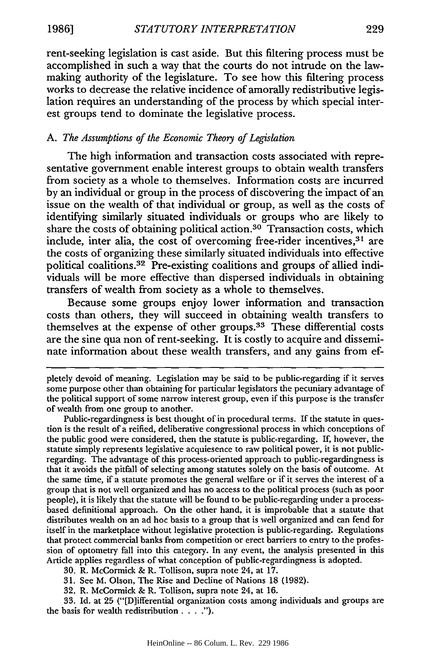rent-seeking legislation is cast aside. But this filtering process must be accomplished in such a way that the courts do not intrude on the lawmaking authority of the legislature. To see how this filtering process works to decrease the relative incidence of amorally redistributive legislation requires an understanding of the process by which special interest groups tend to dominate the legislative process.

## *A. The Assumptions of the Economic Theory of Legislation*

The high information and transaction costs associated with representative government enable interest groups to obtain wealth transfers from society as a whole to themselves. Information costs are incurred by an individual or group in the process of discovering the impact of an issue on the wealth of that individual or group, as well as the costs of identifying similarly situated individuals or groups who are likely to share the costs of obtaining political action.<sup>30</sup> Transaction costs, which include, inter alia, the cost of overcoming free-rider incentives,<sup>31</sup> are the costs of organizing these similarly situated individuals into effective political coalitions. 32 Pre-existing coalitions and groups of allied individuals will be more effective than dispersed individuals in obtaining transfers of wealth from society as a whole to themselves.

Because some groups enjoy lower information and transaction costs than others, they will succeed in obtaining wealth transfers to themselves at the expense of other groups.<sup>33</sup> These differential costs are the sine qua non of rent-seeking. It is costly to acquire and disseminate information about these wealth transfers, and any gains from ef-

Public-regardingness is best thought of in procedural terms. If the statute in question is the result of a reified, deliberative congressional process in which conceptions of the public good were considered, then the statute is public-regarding. If, however, the statute simply represents legislative acquiesence to raw political power, it is not publicregarding. The advantage of this process-oriented approach to public-regardingness is that it avoids the pitfall of selecting among statutes solely on the basis of outcome. At the same time, if a statute promotes the general welfare or if it serves the interest of a group that is not well organized and has no access to the political process (such as poor people), it is likely that the statute will be found to be public-regarding under a processbased definitional approach. On the other hand, it is improbable that a statute that distributes wealth on an ad hoc basis to a group that is well organized and can fend for itself in the marketplace without legislative protection is public-regarding. Regulations that protect commercial banks from competition or erect barriers to entry to the profession of optometry fall into this category. In any event, the analysis presented in this Article applies regardless of what conception of public-regardingness is adopted.

30. R. McCormick & R. Tollison, supra note 24, at 17.

31. See M. Olson, The Rise and Decline of Nations 18 (1982).

32. R. McCormick & R. Tollison, supra note 24, at 16.

33. Id. at 25 ("[D]ifferential organization costs among individuals and groups are the basis for wealth redistribution **.... ").**

pletely devoid of meaning. Legislation may be said to be public-regarding if it serves some purpose other than obtaining for particular legislators the pecuniary advantage of the political support of some narrow interest group, even if this purpose is the transfer of wealth from one group to another.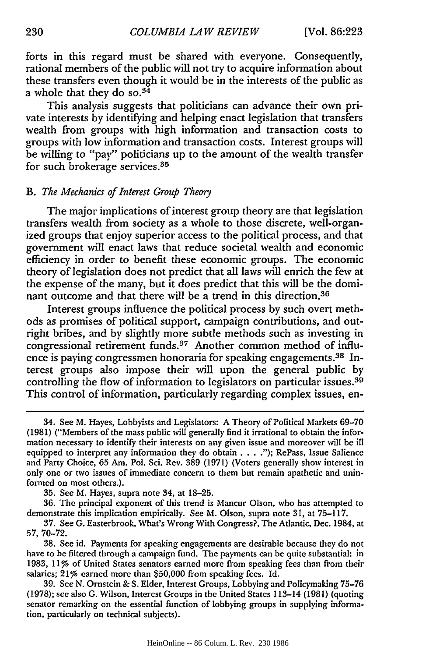forts in this regard must be shared with everyone. Consequently, rational members of the public will not try to acquire information about these transfers even though it would be in the interests of the public as a whole that they do so. $34$ 

This analysis suggests that politicians can advance their own private interests **by** identifying and helping enact legislation that transfers wealth from groups with high information and transaction costs to groups with low information and transaction costs. Interest groups will be willing to "pay" politicians up to the amount of the wealth transfer for such brokerage services.<sup>35</sup>

#### *B. The Mechanics of Interest Group Theory*

The major implications of interest group theory are that legislation transfers wealth from society as a whole to those discrete, well-organized groups that enjoy superior access to the political process, and that government will enact laws that reduce societal wealth and economic efficiency in order to benefit these economic groups. The economic theory of legislation does not predict that all laws will enrich the few at the expense of the many, but it does predict that this will be the dominant outcome and that there will be a trend in this direction.<sup>36</sup>

Interest groups influence the political process by such overt methods as promises of political support, campaign contributions, and outright bribes, and by slightly more subtle methods such as investing in congressional retirement funds.<sup>37</sup> Another common method of influence is paying congressmen honoraria for speaking engagements.<sup>38</sup> Interest groups also impose their will upon the general public by controlling the flow of information to legislators on particular issues.<sup>39</sup> This control of information, particularly regarding complex issues, en-

35. See M. Hayes, supra note 34, at 18-25.

36. The principal exponent of this trend is Mancur Olson, who has attempted to demonstrate this implication empirically. See M. Olson, supra note 31, at 75-117.

37. See G. Easterbrook, What's Wrong With Congress?, The Atlantic, Dec. 1984, at 57, 70-72.

38. See id. Payments for speaking engagements are desirable because they do not have to be filtered through a campaign fund. The payments can be quite substantial: in 1983, 11% of United States senators earned more from speaking fees than from their salaries; 21% earned more than \$50,000 from speaking fees. Id.

39. See N. Ornstein & S. Elder, Interest Groups, Lobbying and Policymaking 75-76 (1978); see also G. Wilson, Interest Groups in the United States 113-14 (1981) (quoting senator remarking on the essential function of lobbying groups in supplying information, particularly on technical subjects).

<sup>34.</sup> See M. Hayes, Lobbyists and Legislators: A Theory of Political Markets 69-70 (1981) ("Members of the mass public will generally find it irrational to obtain the information necessary to identify their interests on any given issue and moreover will be ill equipped to interpret any information they do obtain . **. .** ."); RePass, Issue Salience and Party Choice, 65 Am. Pol. Sci. Rev. 389 (1971) (Voters generally show interest in only one or two issues of immediate concern to them but remain apathetic and uninformed on most others.).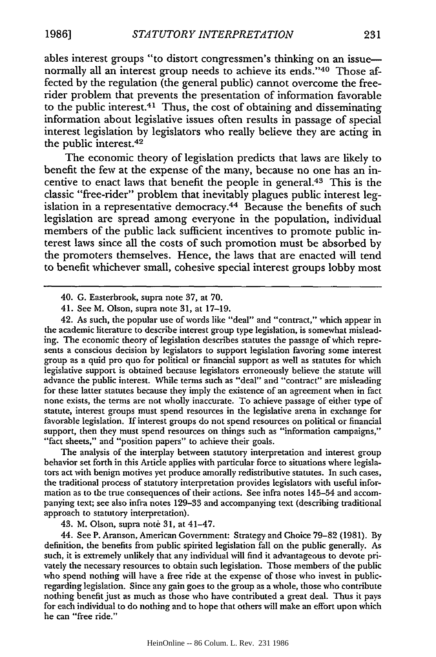ables interest groups "to distort congressmen's thinking on an issuenormally all an interest group needs to achieve its ends."40 Those affected by the regulation (the general public) cannot overcome the freerider problem that prevents the presentation of information favorable to the public interest.<sup>41</sup> Thus, the cost of obtaining and disseminating information about legislative issues often results in passage of special interest legislation by legislators who really believe they are acting in the public interest.<sup>42</sup>

The economic theory of legislation predicts that laws are likely to benefit the few at the expense of the many, because no one has an incentive to enact laws that benefit the people in general.43 This is the classic "free-rider" problem that inevitably plagues public interest legislation in a representative democracy.<sup>44</sup> Because the benefits of such legislation are spread among everyone in the population, individual members of the public lack sufficient incentives to promote public interest laws since all the costs of such promotion must be absorbed by the promoters themselves. Hence, the laws that are enacted will tend to benefit whichever small, cohesive special interest groups lobby most

40. G. Easterbrook, supra note **37,** at 70.

42. As such, the popular use of words like "deal" and "contract," which appear in the academic literature to describe interest group type legislation, is somewhat misleading. The economic theory of legislation describes statutes the passage of which represents a conscious decision by legislators to support legislation favoring some interest group as a quid pro quo for political or financial support as well as statutes for which legislative support is obtained because legislators erroneously believe the statute will advance the public interest. While terms such as "deal" and "contract" are misleading for these latter statutes because they imply the existence of an agreement when in fact none exists, the terms are not wholly inaccurate. To achieve passage of either type of statute, interest groups must spend resources in the legislative arena in exchange for favorable legislation. If interest groups do not spend resources on political or financial support, then they must spend resources on things such as "information campaigns," "fact sheets," and "position papers" to achieve their goals.

The analysis of the interplay between statutory interpretation and interest group behavior set forth in this Article applies with particular force to situations where legislators act with benign motives yet produce amorally redistributive statutes. In such cases, the traditional process of statutory interpretation provides legislators with useful information as to the true consequences of their actions. See infra notes 145-54 and accompanying text; see also infra notes **129-33** and accompanying text (describing traditional approach to statutory interpretation).

43. M. Olson, supra note **31,** at 41-47.

44. See P. Aranson, American Government: Strategy and Choice 79-82 (1981). By definition, the benefits from public spirited legislation fall on the public generally. As such, it is extremely unlikely that any individual will find it advantageous to devote privately the necessary resources to obtain such legislation. Those members of the public who spend nothing will have a free ride at the expense of those who invest in publicregarding legislation. Since any gain goes to the group as a whole, those who contribute nothing benefit just as much as those who have contributed a great deal. Thus it pays for each individual to do nothing and to hope that others will make an effort upon which he can "free ride."

<sup>41.</sup> See M. Olson, supra note **31,** at 17-19.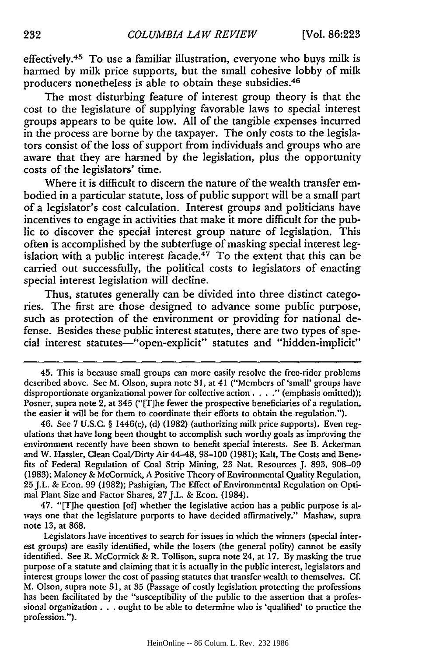effectively. 45 To use a familiar illustration, everyone who buys milk is harmed by milk price supports, but the small cohesive lobby of milk producers nonetheless is able to obtain these subsidies. <sup>46</sup>

The most disturbing feature of interest group theory is that the cost to the legislature of supplying favorable laws to special interest groups appears to be quite low. All of the tangible expenses incurred in the process are borne by the taxpayer. The only costs to the legislators consist of the loss of support from individuals and groups who are aware that they are harmed by the legislation, plus the opportunity costs of the legislators' time.

Where it is difficult to discern the nature of the wealth transfer embodied in a particular statute, loss of public support will be a small part of a legislator's cost calculation. Interest groups and politicians have incentives to engage in activities that make it more difficult for the public to discover the special interest group nature of legislation. This often is accomplished by the subterfuge of masking special interest legislation with a public interest facade.<sup>47</sup> To the extent that this can be carried out successfully, the political costs to legislators of enacting special interest legislation will decline.

Thus, statutes generally can be divided into three distinct categories. The first are those designed to advance some public purpose, such as protection of the environment or providing for national defense. Besides these public interest statutes, there are two types of special interest statutes-"open-explicit" statutes and "hidden-implicit"

45. This is because small groups can more easily resolve the free-rider problems described above. See M. Olson, supra note 31, at 41 ("Members of 'small' groups have disproportionate organizational power for collective action **.... "** (emphasis omitted)); Posner, supra note 2, at 345 ("[T]he fewer the prospective beneficiaries of a regulation, the easier it will be for them to coordinate their efforts to obtain the regulation.").

46. See 7 U.S.C. § 1446(c), (d) (1982) (authorizing milk price supports). Even regulations that have long been thought to accomplish such worthy goals as improving the environment recently have been shown to benefit special interests. See B. Ackerman and W. Hassler, Clean Coal/Dirty Air 44-48, 98-100 (1981); Kalt, The Costs and Benefits of Federal Regulation of Coal Strip Mining, 23 Nat. Resources J. 893, 908-09 (1983); Maloney & McCormick, A Positive Theory of Environmental Quality Regulation, 25J.L. & Econ. 99 (1982); Pashigian, The Effect of Environmental Regulation on Optimal Plant Size and Factor Shares, 27J.L. & Econ. (1984).

47. "[IThe question [of) whether the legislative action has a public purpose is always one that the legislature purports to have decided affirmatively." Mashaw, supra note 13, at 868.

Legislators have incentives to search for issues in which the winners (special interest groups) are easily identified, while the losers (the general polity) cannot be easily identified. See R. McCormick & R. Tollison, supra note 24, at 17. By masking the true purpose of a statute and claiming that it is actually in the public interest, legislators and interest groups lower the cost of passing statutes that transfer wealth to themselves. CE. M. Olson, supra note 31, at 35 (Passage of costly legislation protecting the professions has been facilitated by the "susceptibility of the public to the assertion that a professional organization *...* ought to be able to determine who is 'qualified' to practice the profession.").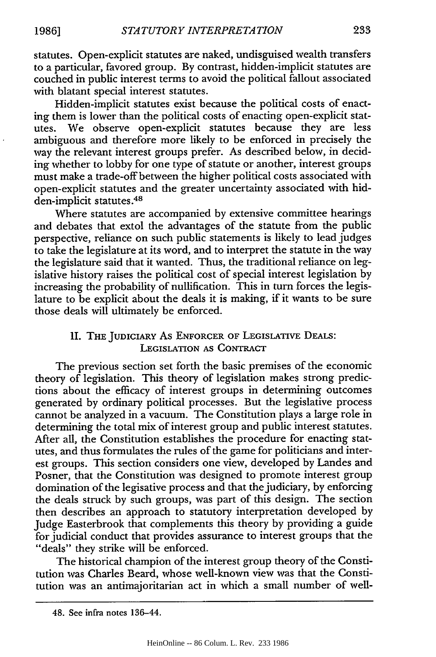statutes. Open-explicit statutes are naked, undisguised wealth transfers to a particular, favored group. By contrast, hidden-implicit statutes are couched in public interest terms to avoid the political fallout associated with blatant special interest statutes.

Hidden-implicit statutes exist because the political costs of enacting them is lower than the political costs of enacting open-explicit statutes. We observe open-explicit statutes because they are less ambiguous and therefore more likely to be enforced in precisely the way the relevant interest groups prefer. As described below, in deciding whether to lobby for one type of statute or another, interest groups must make a trade-off between the higher political costs associated with open-explicit statutes and the greater uncertainty associated with hidden-implicit statutes.<sup>48</sup>

Where statutes are accompanied by extensive committee hearings and debates that extol the advantages of the statute from the public perspective, reliance on such public statements is likely to lead judges to take the legislature at its word, and to interpret the statute in the way the legislature said that it wanted. Thus, the traditional reliance on legislative history raises the political cost of special interest legislation by increasing the probability of nullification. This in turn forces the legislature to be explicit about the deals it is making, if it wants to be sure those deals will ultimately be enforced.

## II. THE JUDICIARY As ENFORCER OF LEGISLATIVE DEALS: LEGISLATION **AS** CONTRACT

The previous section set forth the basic premises of the economic theory of legislation. This theory of legislation makes strong predictions about the efficacy of interest groups in determining outcomes generated by ordinary political processes. But the legislative process cannot be analyzed in a vacuum. The Constitution plays a large role in determining the total mix of interest group and public interest statutes. After all, the Constitution establishes the procedure for enacting statutes, and thus formulates the rules of the game for politicians and interest groups. This section considers one view, developed by Landes and Posner, that the Constitution was designed to promote interest group domination of the legisative process and that the judiciary, by enforcing the deals struck by such groups, was part of this design. The section then describes an approach to statutory interpretation developed by Judge Easterbrook that complements this theory by providing a guide for judicial conduct that provides assurance to interest groups that the "deals" they strike will be enforced.

The historical champion of the interest group theory of the Constitution was Charles Beard, whose well-known view was that the Constitution was an antimajoritarian act in which a small number of well-

<sup>48.</sup> See infra notes 136-44.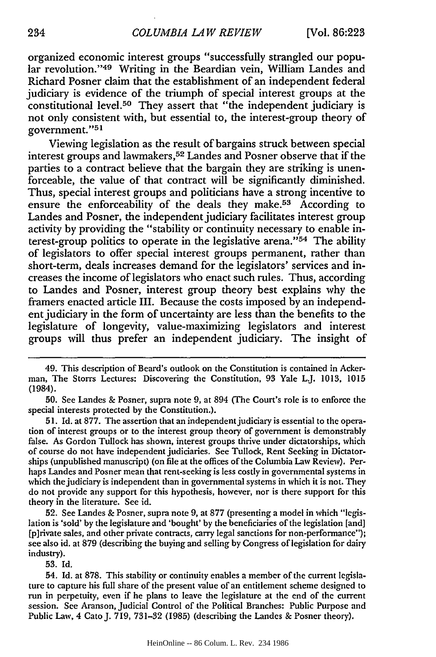organized economic interest groups "successfully strangled our popular revolution."<sup>49</sup> Writing in the Beardian vein, William Landes and Richard Posner claim that the establishment of an independent federal judiciary is evidence of the triumph of special interest groups at the constitutional level.<sup>50</sup> They assert that "the independent judiciary is not only consistent with, but essential to, the interest-group theory of government."<sup>51</sup>

Viewing legislation as the result of bargains struck between special interest groups and lawmakers,<sup>52</sup> Landes and Posner observe that if the parties to a contract believe that the bargain they are striking is unenforceable, the value of that contract will be significantly diminished. Thus, special interest groups and politicians have a strong incentive to ensure the enforceability of the deals they make.<sup>53</sup> According to Landes and Posner, the independent judiciary facilitates interest group activity by providing the "stability or continuity necessary to enable interest-group politics to operate in the legislative arena."'54 The ability of legislators to offer special interest groups permanent, rather than short-term, deals increases demand for the legislators' services and increases the income of legislators who enact such rules. Thus, according to Landes and Posner, interest group theory best explains why the framers enacted article III. Because the costs imposed by an independent judiciary in the form of uncertainty are less than the benefits to the legislature of longevity, value-maximizing legislators and interest groups will thus prefer an independent judiciary. The insight of

51. Id. at 877. The assertion that an independentjudiciary is essential to the operation of interest groups or to the interest group theory of government is demonstrably false. As Gordon Tullock has shown, interest groups thrive under dictatorships, which of course do not have independent judiciaries. See Tullock, Rent Seeking in Dictatorships (unpublished manuscript) (on file at the offices of the Columbia Law Review). Perhaps Landes and Posner mean that rent-seeking is less costly in governmental systems in which the judiciary is independent than in governmental systems in which it is not. They do not provide any support for this hypothesis, however, nor is there support for this theory in the literature. See id.

52. See Landes & Posner, supra note 9, at 877 (presenting a model in which "legislation is 'sold' by the legislature and 'bought' by the beneficiaries of the legislation [and] [p]rivate sales, and other private contracts, carry legal sanctions for non-performance"); see also id. at 879 (describing the buying and selling by Congress of legislation for dairy industry).

53. Id.

54. Id. at 878. This stability or continuity enables a member of the current legislature to capture his full share of the present value of an entitlement scheme designed to run in perpetuity, even if he plans to leave the legislature at the end of the current session. See Aranson, judicial Control of the Political Branches: Public Purpose and Public Law, 4 Cato J. 719, **731-32** (1985) (describing the Landes **&** Posner theory).

<sup>49.</sup> This description of Beard's outlook on the Constitution is contained in Ackerman, The Storrs Lectures: Discovering the Constitution, 93 Yale L.J. 1013, 1015 (1984).

<sup>50.</sup> See Landes & Posner, supra note 9, at 894 (The Court's role is to enforce the special interests protected **by** the Constitution.).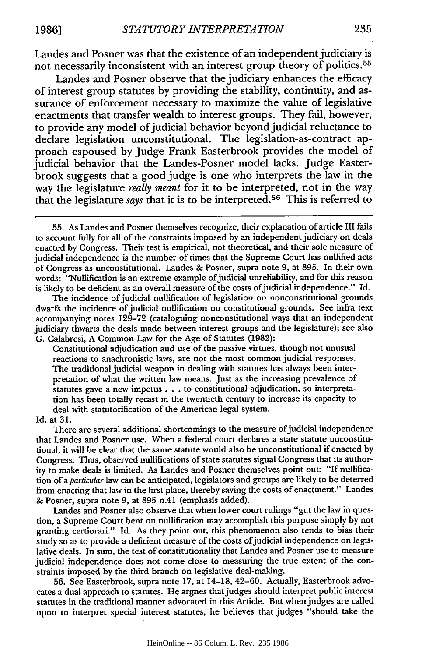Landes and Posner was that the existence of an independent judiciary is not necessarily inconsistent with an interest group theory of politics.<sup>55</sup>

Landes and Posner observe that the judiciary enhances the efficacy of interest group statutes by providing the stability, continuity, and assurance of enforcement necessary to maximize the value of legislative enactments that transfer wealth to interest groups. They fail, however, to provide any model of judicial behavior beyond judicial reluctance to declare legislation unconstitutional. The legislation-as-contract approach espoused by Judge Frank Easterbrook provides the model of judicial behavior that the Landes-Posner model lacks. Judge Easterbrook suggests that a good judge is one who interprets the law in the way the legislature *really meant* for it to be interpreted, not in the way that the legislature *says* that it is to be interpreted. 56 This is referred to

The incidence of judicial nullification of legislation on nonconstitutional grounds dwarfs the incidence of judicial nullification on constitutional grounds. See infra text accompanying notes 129-72 (cataloguing nonconstitutional ways that an independent judiciary thwarts the deals made between interest groups and the legislature); see also G. Calabresi, A Common Law for the Age of Statutes (1982):

Constitutional adjudication and use of the passive virtues, though not unusual reactions to anachronistic laws, are not the most common judicial responses. The traditional judicial weapon in dealing with statutes has always been interpretation of what the written law means. Just as the increasing prevalence of statutes gave a new impetus **...** to constitutional adjudication, so interpretation has been totally recast in the twentieth century to increase its capacity to deal with statutorification of the American legal system.

Id. at 31.

There are several additional shortcomings to the measure of judicial independence that Landes and Posner use. When a federal court declares a state statute unconstitutional, it will be clear that the same statute would also be unconstitutional if enacted by Congress. Thus, observed nullifications of state statutes signal Congress that its authority to make deals is limited. As Landes and Posner themselves point out: "If nullification *of* a *particular* law can be anticipated, legislators and groups are likely to be deterred from enacting that law in the first place, thereby saving the costs of enactment." Landes & Posner, supra note 9, at 895 n.41 (emphasis added).

Landes and Posner also observe that when lower court rulings "gut the law in question, a Supreme Court bent on nullification may accomplish this purpose simply by not granting certiorari." Id. As they point out, this phenomenon also tends to bias their study so as to provide a deficient measure of the costs ofjudicial independence on legislative deals. In sum, the test of constitutionality that Landes and Posner use to measure judicial independence does not come close to measuring the true extent of the constraints imposed by the third branch on legislative deal-making.

56. See Easterbrook, supra note 17, at 14-18, 42-60. Actually, Easterbrook advocates a dual approach to statutes. He argues that judges should interpret public interest statutes in the traditional manner advocated in this Article. But when judges are called upon to interpret special interest statutes, he believes that judges "should take the

<sup>55.</sup> As Landes and Posner themselves recognize, their explanation of article III fails to account fully for all of the constraints imposed by an independent judiciary on deals enacted by Congress. Their test is empirical, not theoretical, and their sole measure of judicial independence is the number of times that the Supreme Court has nullified acts of Congress as unconstitutional. Landes & Posner, supra note 9, at 895. In their own words: "Nullification is an extreme example of judicial unreliability, and for this reason is likely to be deficient as an overall measure of the costs of judicial independence." Id.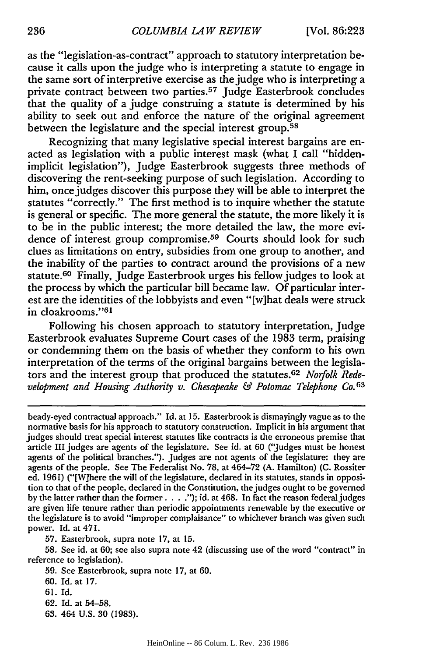as the "legislation-as-contract" approach to statutory interpretation because it calls upon the judge who is interpreting a statute to engage in the same sort of interpretive exercise as the judge who is interpreting a private contract between two parties.<sup>57</sup> Judge Easterbrook concludes that the quality of a judge construing a statute is determined by his ability to seek out and enforce the nature of the original agreement between the legislature and the special interest group.<sup>58</sup>

Recognizing that many legislative special interest bargains are enacted as legislation with a public interest mask (what I call "hiddenimplicit legislation"), Judge Easterbrook suggests three methods of discovering the rent-seeking purpose of such legislation. According to him, once judges discover this purpose they will be able to interpret the statutes "correctly." The first method is to inquire whether the statute is general or specific. The more general the statute, the more likely it is to be in the public interest; the more detailed the law, the more evidence of interest group compromise.<sup>59</sup> Courts should look for such clues as limitations on entry, subsidies from one group to another, and the inability of the parties to contract around the provisions of a new statute.60 Finally, Judge Easterbrook urges his fellow judges to look at the process by which the particular bill became law. Of particular interest are the identities of the lobbyists and even "[w]hat deals were struck in cloakrooms."<sup>61</sup>

Following his chosen approach to statutory interpretation, Judge Easterbrook evaluates Supreme Court cases of the 1983 term, praising or condemning them on the basis of whether they conform to his own interpretation of the terms of the original bargains between the legislators and the interest group that produced the statutes. <sup>62</sup>*Norfolk Redevelopment and Housing Authority v. Chesapeake & Potomac Telephone Co.* 63

beady-eyed contractual approach." Id. at 15. Easterbrook is dismayingly vague as to the normative basis for his approach to statutory construction. Implicit in his argument that judges should treat special interest statutes like contracts is the erroneous premise that article III judges are agents of the legislature. See id. at 60 ("Judges must be honest agents of the political branches."). Judges are not agents of the legislature: they are agents of the people. See The Federalist No. 78, at 464-72 (A. Hamilton) (C. Rossiter ed. 1961) ("[W]here the will of the legislature, declared in its statutes, stands in opposition to that of the people, declared in the Constitution, the judges ought to be governed by the latter rather than the former **.. ");** id. at 468. In fact the reason federal judges are given life tenure rather than periodic appointments renewable by the executive or the legislature is to avoid "improper complaisance" to whichever branch was given such power. Id. at 471.

57. Easterbrook, supra note 17, at 15.

58. See id. at 60; see also supra note 42 (discussing use of the word "contract" in reference to legislation).

59. See Easterbrook, supra note 17, at 60.

60. Id. at 17.

- 61. Id.
- 62. Id. at 54-58.
- 63. 464 U.S. 30 (1983).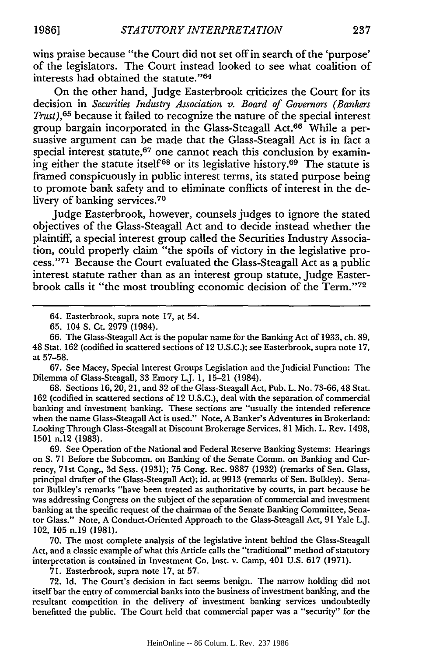wins praise because "the Court did not set off in search of the 'purpose' of the legislators. The Court instead looked to see what coalition of interests had obtained the statute."<sup>64</sup>

On the other hand, Judge Easterbrook criticizes the Court for its decision in *Securities Industry Association v. Board of Governors (Bankers Trust),<sup>65</sup>*because it failed to recognize the nature of the special interest group bargain incorporated in the Glass-Steagall Act.<sup>66</sup> While a persuasive argument can be made that the Glass-Steagall Act is in fact a special interest statute,<sup>67</sup> one cannot reach this conclusion by examining either the statute itself<sup>68</sup> or its legislative history.<sup>69</sup> The statute is framed conspicuously in public interest terms, its stated purpose being to promote bank safety and to eliminate conflicts of interest in the delivery of banking services.<sup>70</sup>

Judge Easterbrook, however, counsels judges to ignore the stated objectives of the Glass-Steagall Act and to decide instead whether the plaintiff, a special interest group called the Securities Industry Association, could properly claim "the spoils of victory in the legislative process." 71 Because the Court evaluated the Glass-Steagall Act as a public interest statute rather than as an interest group statute, Judge Easterbrook calls it "the most troubling economic decision of the Term."72

64. Easterbrook, supra note 17, at 54.

66. The Glass-Steagall Act is the popular name for the Banking Act of 1933, ch. 89, 48 Stat. 162 (codified in scattered sections of 12 U.S.C.); see Easterbrook, supra note 17, at 57-58.

67. See Macey, Special Interest Groups Legislation and the Judicial Function: The Dilemma of Glass-Steagall, 33 Emory L.J. 1, 15-21 (1984).

68. Sections 16, 20, 21, and 32 of the Glass-Steagall Act, Pub. L. No. 73-66, 48 Stat. 162 (codified in scattered sections of 12 U.S.C.), deal with the separation of commercial banking and investment banking. These sections are "usually the intended reference when the name Glass-Steagall Act is used." Note, A Banker's Adventures in Brokerland: Looking Through Glass-Steagall at Discount Brokerage Services, 81 Mich. L. Rev. 1498, 1501 n.12 (1983).

69. See Operation of the National and Federal Reserve Banking Systems: Hearings on **S.** 71 Before the Subcomm. on Banking of the Senate Comm. on Banking and Currency, 71st Cong., 3d Sess. (1931); **75** Cong. Rec. 9887 (1932) (remarks of Sen. Glass, principal drafter of the Glass-Steagall Act); id. at 9913 (remarks of Sen. Bulkley). Senator Bulkley's remarks "have been treated as authoritative by courts, in part because he was addressing Congress on the subject of the separation of commercial and investment banking at the specific request of the chairman of the Senate Banking Committee, Senator Glass." Note, A Conduct-Oriented Approach to the Glass-Steagall Act, 91 Yale LJ. 102, 105 n.19 (1981).

70. The most complete analysis of the legislative intent behind the Glass-Steagall Act, and a classic example of what this Article calls the "traditional" method of statutory interpretation is contained in Investment Co. Inst. v. Camp, 401 U.S. 617 (1971).

71. Easterbrook, supra note 17, at **57.**

72. Id. The Court's decision in fact seems benign. The narrow holding did not itself bar the entry of commercial banks into the business of investment banking, and the resultant competition in the delivery of investment banking services undoubtedly benefitted the public. The Court held that commercial paper was a "security" for the

<sup>65. 104</sup> S. Ct. 2979 (1984).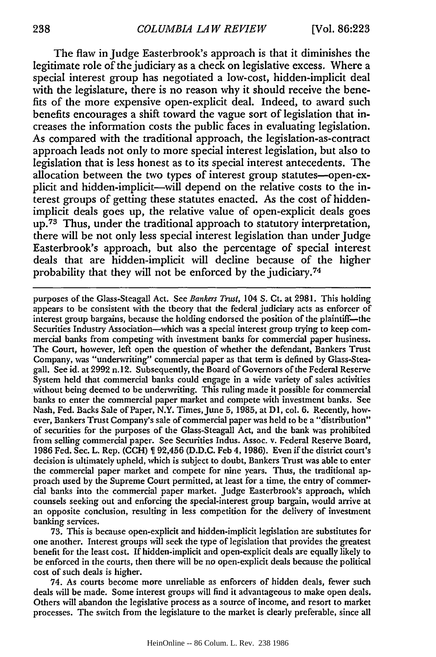The flaw in Judge Easterbrook's approach is that it diminishes the legitimate role of the judiciary as a check on legislative excess. Where a special interest group has negotiated a low-cost, hidden-implicit deal with the legislature, there is no reason why it should receive the benefits of the more expensive open-explicit deal. Indeed, to award such benefits encourages a shift toward the vague sort of legislation that increases the information costs the public faces in evaluating legislation. As compared with the traditional approach, the legislation-as-contract approach leads not only to more special interest legislation, but also to legislation that is less honest as to its special interest antecedents. The allocation between the two types of interest group statutes-open-explicit and hidden-implicit-will depend on the relative costs to the interest groups of getting these statutes enacted. As the cost of hiddenimplicit deals goes up, the relative value of open-explicit deals goes **up.73** Thus, under the traditional approach to statutory interpretation, there will be not only less special interest legislation than under Judge Easterbrook's approach, but also the percentage of special interest deals that are hidden-implicit will decline because of the higher probability that they will not be enforced by the judiciary.74

purposes of the Glass-Steagall Act. See *Bankers Trust,* 104 **S.** Ct. at 2981. This holding appears to be consistent with the theory that the federal judiciary acts as enforcer of interest group bargains, because the holding endorsed the position of the plaintiff-the Securities Industry Association-which was a special interest group trying to keep commercial banks from competing with investment banks for commercial paper business. The Court, however, left open the question of whether the defendant, Bankers Trust Company, was "underwriting" commercial paper as that term is defined by Glass-Steagall. See id. at 2992 n.12. Subsequently, the Board of Governors of the Federal Reserve System held that commercial banks could engage in a wide variety of sales activities without being deemed to be underwriting. This ruling made it possible for commercial banks to enter the commercial paper market and compete with investment banks. See Nash, Fed. Backs Sale of Paper, N.Y. Times,June 5, 1985, at **DI,** col. 6. Recently, however, Bankers Trust Company's sale of commercial paper was held to be a "distribution" of securities for the purposes of the Glass-Steagall Act, and the bank was prohibited from selling commercial paper. See Securities Indus. Assoc. v. Federal Reserve Board, 1986 Fed. Sec. L. Rep. (CCH) 92,456 (D.D.C. Feb 4, 1986). Even if the district court's decision is ultimately upheld, which is subject to doubt, Bankers Trust was able to enter the commercial paper market and compete for nine years. Thus, the traditional approach used by the Supreme Court permitted, at least for a time, the entry of commercial banks into the commercial paper market. Judge Easterbrook's approach, which counsels seeking out and enforcing the special-interest group bargain, would arrive at an opposite conclusion, resulting in less competition for the delivery of investment banking services.

73. This is because open-explicit and hidden-implicit legislation are substitutes for one another. Interest groups will seek the type of legislation that provides the greatest benefit for the least cost. If hidden-implicit and open-explicit deals are equally likely to be enforced in the courts, then there will be no open-explicit deals because the political cost of such deals is higher.

74. As courts become more unreliable as enforcers of hidden deals, fewer such deals will be made. Some interest groups will find it advantageous to make open deals. Others will abandon the legislative process as a source of income, and resort to market processes. The switch from the legislature to the market is clearly preferable, since all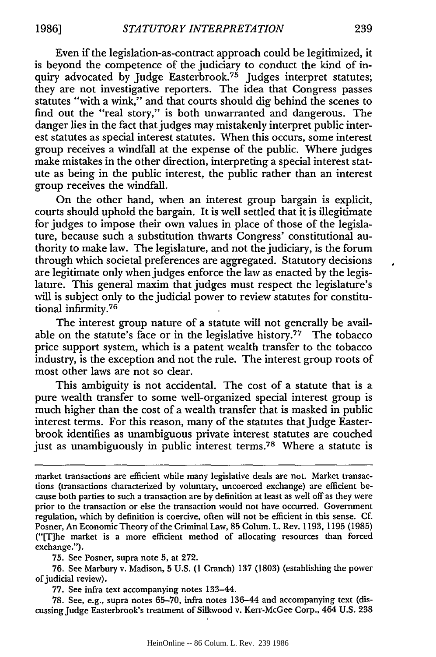Even if the legislation-as-contract approach could be legitimized, it is beyond the competence of the judiciary to conduct the kind of inquiry advocated by Judge Easterbrook.<sup>75</sup> Judges interpret statutes; they are not investigative reporters. The idea that Congress passes statutes "with a wink," and that courts should dig behind the scenes to find out the "real story," is both unwarranted and dangerous. The danger lies in the fact that judges may mistakenly interpret public interest statutes as special interest statutes. When this occurs, some interest group receives a windfall at the expense of the public. Where judges make mistakes in the other direction, interpreting a special interest statute as being in the public interest, the public rather than an interest group receives the windfall.

On the other hand, when an interest group bargain is explicit, courts should uphold the bargain. It is well settled that it is illegitimate for judges to impose their own values in place of those of the legislature, because such a substitution thwarts Congress' constitutional authority to make law. The legislature, and not the judiciary, is the forum through which societal preferences are aggregated. Statutory decisions are legitimate only when judges enforce the law as enacted by the legislature. This general maxim that judges must respect the legislature's will is subject only to the judicial power to review statutes for constitutional infirmity. <sup>76</sup>

The interest group nature of a statute will not generally be available on the statute's face or in the legislative history.<sup>77</sup> The tobacco price support system, which is a patent wealth transfer to the tobacco industry, is the exception and not the rule. The interest group roots of most other laws are not so clear.

This ambiguity is not accidental. The cost of a statute that is a pure wealth transfer to some well-organized special interest group is much higher than the cost of a wealth transfer that is masked in public interest terms. For this reason, many of the statutes that Judge Easterbrook identifies as unambiguous private interest statutes are couched just as unambiguously in public interest terms.<sup>78</sup> Where a statute is

75. See Posner, supra note 5, at 272.

76. See Marbury v. Madison, 5 U.S. **(1** Cranch) 137 (1803) (establishing the power of judicial review).

77. See infra text accompanying notes 133-44.

78. See, e.g., supra notes 65-70, infra notes 136-44 and accompanying text (discussing Judge Easterbrook's treatment of Silkwood v. Kerr-McGee Corp., 464 U.S. 238

market transactions are efficient while many legislative deals are not. Market transactions (transactions characterized by voluntary, uncoerced exchange) are efficient because both parties to such a transaction are by definition at least as well off as they were prior to the transaction or else the transaction would not have occurred. Government regulation, which by definition is coercive, often will not be efficient in this sense. Cf. Posner, An Economic Theory of the Criminal Law, 85 Colum. L. Rev. 1193, 1195 (1985) ("[T]he market is a more efficient method of allocating resources than forced exchange.").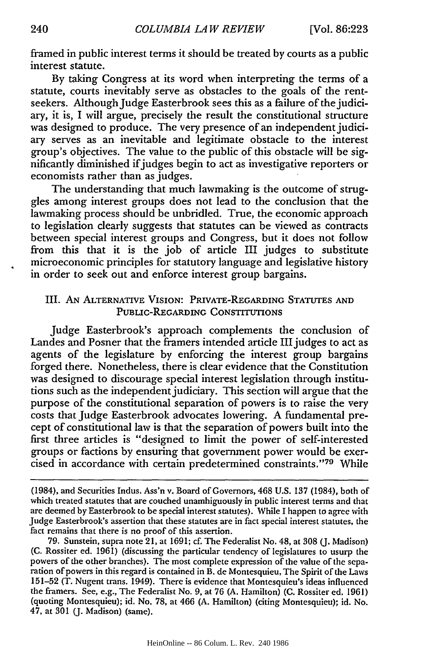framed in public interest terms it should be treated by courts as a public interest statute.

By taking Congress at its word when interpreting the terms of a statute, courts inevitably serve as obstacles to the goals of the rentseekers. Although Judge Easterbrook sees this as a failure of the judiciary, it is, I will argue, precisely the result the constitutional structure was designed to produce. The very presence of an independent judiciary serves as an inevitable and legitimate obstacle to the interest group's objectives. The value to the public of this obstacle will be significantly diminished ifjudges begin to act as investigative reporters or economists rather than as judges.

The understanding that much lawmaking is the outcome of struggles among interest groups does not lead to the conclusion that the lawmaking process should be unbridled. True, the economic approach to legislation clearly suggests that statutes can be viewed as contracts between special interest groups and Congress, but it does not follow from this that it is the job of article III judges to substitute microeconomic principles for statutory language and legislative history in order to seek out and enforce interest group bargains.

## III. **AN** ALTERNATIVE VISION: PRIVATE-REGARDING STATUTES **AND** PUBLIC-REGARDING CONSTITUTIONS

Judge Easterbrook's approach complements the conclusion of Landes and Posner that the framers intended article III judges to act as agents of the legislature by enforcing the interest group bargains forged there. Nonetheless, there is clear evidence that the Constitution was designed to discourage special interest legislation through institutions such as the independent judiciary. This section will argue that the purpose of the constitutional separation of powers is to raise the very costs that Judge Easterbrook advocates lowering. A fundamental precept of constitutional law is that the separation of powers built into the first three articles is "designed to limit the power of self-interested groups or factions by ensuring that government power would be exercised in accordance with certain predetermined constraints."'79 While

<sup>(1984),</sup> and Securities Indus. Ass'n v. Board of Governors, 468 U.S. 137 (1984), both of which treated statutes that are couched unambiguously in public interest terms and that are deemed by Easterbrook to be special interest statutes). While I happen to agree with Judge Easterbrook's assertion that these statutes are in fact special interest statutes, the fact remains that there is no proof of this assertion.

<sup>79.</sup> Sunstein, supra note 21, at 1691; cf. The Federalist No. 48, at 308 (J. Madison) **(C.** Rossiter ed. 1961) (discussing the particular tendency of legislatures to usurp the powers of the other branches). The most complete expression of the value of the separation of powers in this regard is contained in B. de Montesquieu, The Spirit of the Laws 151-52 (T. Nugent trans. 1949). There is evidence that Montesquieu's ideas influenced the framers. See, e.g., The Federalist No. 9, at 76 (A. Hamilton) (C. Rossiter **ed.** 1961) (quoting Montesquieu); id. No. 78, at 466 (A. Hamilton) (citing Montesquieu); id. No. 47, at 301 (J. Madison) (same).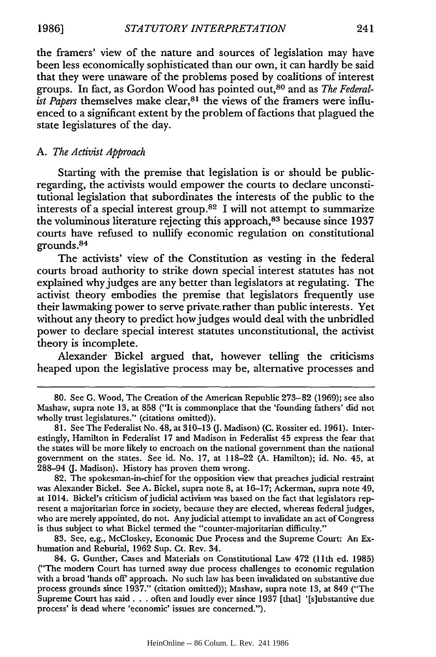**1986]**

the framers' view of the nature and sources of legislation may have been less economically sophisticated than our own, it can hardly be said that they were unaware of the problems posed by coalitions of interest groups. In fact, as Gordon Wood has pointed out,<sup>80</sup> and as *The Federal*ist Papers themselves make clear,<sup>81</sup> the views of the framers were influenced to a significant extent by the problem of factions that plagued the state legislatures of the day.

#### *A. The Activist Approach*

Starting with the premise that legislation is or should be publicregarding, the activists would empower the courts to declare unconstitutional legislation that subordinates the interests of the public to the interests of a special interest group.<sup>82</sup> I will not attempt to summarize the voluminous literature rejecting this approach,<sup>83</sup> because since 1937 courts have refused to nullify economic regulation on constitutional grounds.<sup>84</sup>

The activists' view of the Constitution as vesting in the federal courts broad authority to strike down special interest statutes has not explained why judges are any better than legislators at regulating. The activist theory embodies the premise that legislators frequently use their lawmaking power to serve private.rather than public interests. Yet without any theory to predict how judges would deal with the unbridled power to declare special interest statutes unconstitutional, the activist theory is incomplete.

Alexander Bickel argued that, however telling the criticisms heaped upon the legislative process may be, alternative processes and

<sup>80.</sup> See G. Wood, The Creation of the American Republic 273-82 (1969); see also Mashaw, supra note 13, at 858 ("It is commonplace that the 'founding fathers' did not wholly trust legislatures." (citations omitted)).

<sup>81.</sup> See The Federalist No. 48, at 310-13 **(1.** Madison) (C. Rossiter ed. 1961). Interestingly, Hamilton in Federalist 17 and Madison in Federalist 45 express the fear that the states will be more likely to encroach on the national government than the national government on the states. See id. No. 17, at 118-22 (A. Hamilton); id. No. 45, at 288-94 *(J.* Madison). History has proven them wrong.

<sup>82.</sup> The spokesman-in-chief for the opposition view that preaches judicial restraint was Alexander Bickel. See A. Bickel, supra note 8, at 16-17; Ackerman, supra note 49, at 1014. Bickel's criticism of judicial activism was based on the fact that legislators represent a majoritarian force in society, because they are elected, whereas federal judges, who are merely appointed, do not. Anyjudicial attempt to invalidate an act of Congress is thus subject to what Bickel termed the "counter-majoritarian difficulty."

<sup>83.</sup> See, e.g., McCloskey, Economic Due Process and the Supreme Court: An Exhumation and Reburial, 1962 Sup. Ct. Rev. 34.

<sup>84.</sup> **G.** Gunther, Cases and Materials on Constitutional Law 472 **(11th** ed. 1985) ("The modern Court has turned away due process challenges to economic regulation with a broad 'hands off approach. No such law has been invalidated on substantive due process grounds since 1937." (citation omitted)); Mashaw, supra note 13, at 849 ("The Supreme Court has said **...** often and loudly ever since 1937 [that] '[s]ubstantive due process' is dead where 'economic' issues are concerned.").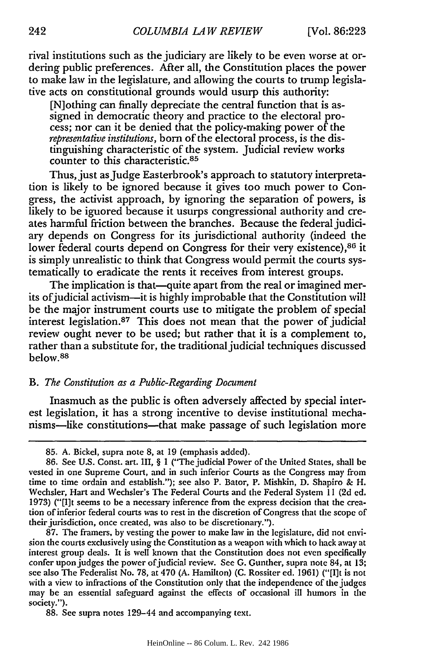rival institutions such as the judiciary are likely to be even worse at ordering public preferences. After all, the Constitution places the power to make law in the legislature, and allowing the courts to trump legislative acts on constitutional grounds would usurp this authority:

[N]othing can finally depreciate the central function that is assigned in democratic theory and practice to the electoral process; nor can it be denied that the policy-making power of the *representative institutions,* born of the electoral process, is the distinguishing characteristic of the system. Judicial review works counter to this characteristic.<sup>85</sup>

Thus, just as Judge Easterbrook's approach to statutory interpretation is likely to be ignored because it gives too much power to Congress, the activist approach, by ignoring the separation of powers, is likely to be iguored because it usurps congressional authority and creates harmful friction between the branches. Because the federal judiciary depends on Congress for its jurisdictional authority (indeed the lower federal courts depend on Congress for their very existence), 86 it is simply unrealistic to think that Congress would permit the courts systematically to eradicate the rents it receives from interest groups.

The implication is that—quite apart from the real or imagined merits ofjudicial activism-it is highly improbable that the Constitution will be the major instrument courts use to mitigate the problem of special interest legislation.<sup>87</sup> This does not mean that the power of judicial review ought never to be used; but rather that it is a complement to, rather than a substitute for, the traditional judicial techniques discussed below.88

#### *B. The Constitution as a Public-Regarding Document*

Inasmuch as the public is often adversely affected by special interest legislation, it has a strong incentive to devise institutional mechanisms-like constitutions-that make passage of such legislation more

<sup>85.</sup> A. Bickel, supra note 8, at 19 (emphasis added).

<sup>86.</sup> See U.S. Const. art. III, § 1 ("The judicial Power of the United States, shall be vested in one Supreme Court, and in such inferior Courts as the Congress may from time to time ordain and establish."); see also P. Bator, P. Mishkin, D. Shapiro & H. Wechsler, Hart and Wechsler's The Federal Courts and the Federal System 11 (2d ed. 1973) ("[I]t seems to be a necessary inference from the express decision that the creation of inferior federal courts was to rest in the discretion of Congress that the scope of their jurisdiction, once created, was also to **be** discretionary.").

<sup>87.</sup> The framers, by vesting the power to make law in the legislature, did not envision the courts exclusively using the Constitution as a weapon with which to hack away at interest group deals. It is well known that the Constitution does not even specifically confer upon judges the power ofjudicial review. See G. Gunther, supra note 84, at 13; see also The Federalist No. 78, at 470 (A. Hamilton) **(C.** Rossiter ed. 1961) ("lilt is not with a view to infractions of the Constitution only that the independence of the judges may be an essential safeguard against the effects of occasional ill humors in the society.").

<sup>88.</sup> See supra notes 129-44 and accompanying text.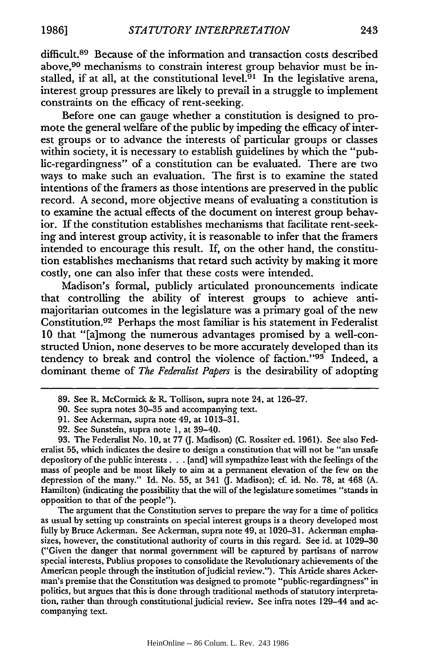difficult.<sup>89</sup> Because of the information and transaction costs described above,<sup>90</sup> mechanisms to constrain interest group behavior must be installed, if at all, at the constitutional level.<sup>91</sup> In the legislative arena, interest group pressures are likely to prevail in a struggle to implement constraints on the efficacy of rent-seeking.

Before one can gauge whether a constitution is designed to promote the general welfare of the public by impeding the efficacy of interest groups or to advance the interests of particular groups or classes within society, it is necessary to establish guidelines by which the "public-regardingness" of a constitution can be evaluated. There are two ways to make such an evaluation. The first is to examine the stated intentions of the framers as those intentions are preserved in the public record. A second, more objective means of evaluating a constitution is to examine the actual effects of the document on interest group behavior. If the constitution establishes mechanisms that facilitate rent-seeking and interest group activity, it is reasonable to infer that the framers intended to encourage this result. If, on the other hand, the constitution establishes mechanisms that retard such activity by making it more costly, one can also infer that these costs were intended.

Madison's formal, publicly articulated pronouncements indicate that controlling the ability of interest groups to achieve antimajoritarian outcomes in the legislature was a primary goal of the new Constitution.92 Perhaps the most familiar is his statement in Federalist 10 that "[a]mong the numerous advantages promised by a well-constructed Union, none deserves to be more accurately developed than its tendency to break and control the violence of faction."93 Indeed, a dominant theme of *The Federalist Papers* is the desirability of adopting

92. See Sunstein, supra note **1,** at 39-40.

93. The Federalist No. 10, at 77 **(J.** Madison) (C. Rossiter ed. 1961). See also Federalist **55,** which indicates the desire to design a constitution that will not be "an unsafe depository of the public interests **...** [and] will sympathize least with the feelings of the mass of people and be most likely to aim at a permanent elevation of the few on the depression of the many." Id. No. **55,** at 341 (J. Madison); cf. id. No. 78, at 468 (A. Hamilton) (indicating the possibility that the will of the legislature sometimes "stands in opposition to that of the people").

The argument that the Constitution serves to prepare the way for a time of politics as usual by setting up constraints on special interest groups is a theory developed most fully by Bruce Ackerman. See Ackerman, supra note 49, at 1020-31. Ackerman emphasizes, however, the constitutional authority of courts in this regard. See id. at 1029-30 ("Given the danger that normal government will be captured by partisans of narrow special interests, Publius proposes to consolidate the Revolutionary achievements of the American people through the institution of judicial review."). This Article shares Ackerman's premise that the Constitution was designed to promote "public-regardingness" in politics, but argues that this is done through traditional methods of statutory interpretation, rather than through constitutional judicial review. See infra notes 129-44 and accompanying text.

<sup>89.</sup> See R. McCormick & R. Tollison, supra note 24, at 126-27.

<sup>90.</sup> See supra notes 30-35 and accompanying text.

<sup>91.</sup> See Ackerman, supra note 49, at 1013-31.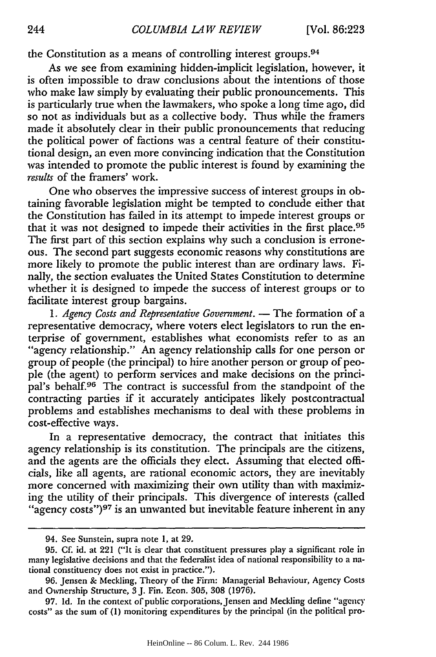the Constitution as a means of controlling interest groups.94

As we see from examining hidden-implicit legislation, however, it is often impossible to draw conclusions about the intentions of those who make law simply by evaluating their public pronouncements. This is particularly true when the lawmakers, who spoke a long time ago, did so not as individuals but as a collective body. Thus while the framers made it absolutely clear in their public pronouncements that reducing the political power of factions was a central feature of their constitutional design, an even more convincing indication that the Constitution was intended to promote the public interest is found by examining the *results* of the framers' work.

One who observes the impressive success of interest groups in obtaining favorable legislation might be tempted to conclude either that the Constitution has failed in its attempt to impede interest groups or that it was not designed to impede their activities in the first place.95 The first part of this section explains why such a conclusion is erroneous. The second part suggests economic reasons why constitutions are more likely to promote the public interest than are ordinary laws. Finally, the section evaluates the United States Constitution to determine whether it is designed to impede the success of interest groups or to facilitate interest group bargains.

1. Agency Costs and Representative Government. — The formation of a representative democracy, where voters elect legislators to run the enterprise of government, establishes what economists refer to as an "agency relationship." An agency relationship calls for one person or group of people (the principal) to hire another person or group of people (the agent) to perform services and make decisions on the principal's behalf.96 The contract is successful from the standpoint of the contracting parties if it accurately anticipates likely postcontractual problems and establishes mechanisms to deal with these problems in cost-effective ways.

In a representative democracy, the contract that initiates this agency relationship is its constitution. The principals are the citizens, and the agents are the officials they elect. Assuming that elected officials, like all agents, are rational economic actors, they are inevitably more concerned with maximizing their own utility than with maximizing the utility of their principals. This divergence of interests (called "agency costs") $97$  is an unwanted but inevitable feature inherent in any

<sup>94.</sup> See Sunstein, supra note 1, at 29.

<sup>95.</sup> Cf. id. at 221 ("It is clear that constituent pressures play a significant role in many legislative decisions and that the federalist idea of national responsibility to a national constituency does not exist in practice.").

<sup>96.</sup> Jensen & Meckling, Theory of the Firm: Managerial Behaviour, Agency Costs and Ownership Structure, 3 J. Fin. Econ. 305, **308** (1976).

<sup>97.</sup> Id. In the context of public corporations, Jensen and Meckling define "agency costs" as the sum of (1) monitoring expenditures by the principal (in the political pro-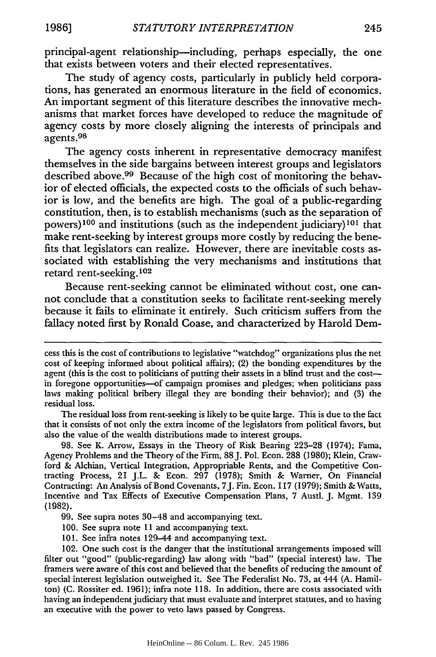principal-agent relationship-including, perhaps especially, the one that exists between voters and their elected representatives.

The study of agency costs, particularly in publicly held corporations, has generated an enormous literature in the field of economics. An important segment of this literature describes the innovative mechanisms that market forces have developed to reduce the magnitude of agency costs by more closely aligning the interests of principals and agents.<sup>98</sup>

The agency costs inherent in representative democracy manifest themselves in the side bargains between interest groups and legislators described above.<sup>99</sup> Because of the high cost of monitoring the behavior of elected officials, the expected costs to the officials of such behavior is low, and the benefits are high. The goal of a public-regarding constitution, then, is to establish mechanisms (such as the separation of powers)<sup>100</sup> and institutions (such as the independent judiciary)<sup>101</sup> that make rent-seeking by interest groups more costly by reducing the benefits that legislators can realize. However, there are inevitable costs associated with establishing the very mechanisms and institutions that retard rent-seeking.<sup>102</sup>

Because rent-seeking cannot be eliminated without cost, one cannot conclude that a constitution seeks to facilitate rent-seeking merely because it fails to eliminate it entirely. Such criticism suffers from the fallacy noted first by Ronald Coase, and characterized by Harold Dem-

The residual loss from rent-seeking is likely to be quite large. This is due to the fact that it consists of not only the extra income of the legislators from political favors, but also the value of the wealth distributions made to interest groups.

**98.** See K. Arrow, Essays in the Theory of Risk Bearing 223-28 (1974); Fama, Agency Problems and the Theory of the Firm, 88J. Pol. Econ. 288 (1980); Klein, Crawford & Alchian, Vertical Integration, Appropriable Rents, and the Competitive Contracting Process, 21 J.L. & Econ. 297 (1978); Smith & Warner, On Financial Contracting: An Analysis of Bond Covenants, 7J. Fin. Econ. 117 (1979); Smith & Watts, Incentive and Tax Effects of Executive Compensation Plans, 7 Austl. J. Mgmt. 139 (1982).

99. See supra notes 30-48 and accompanying text.

100. See supra note **I I** and accompanying text.

101. See infra notes 129-44 and accompanying text.

102. One such cost is the danger that the institutional arrangements imposed will filter out "good" (public-regarding) law along with "bad" (special interest) law. The framers were aware of this cost and believed that the benefits of reducing the amount of special interest legislation outweighed it. See The Federalist No. 73, at 444 (A. Hamilton) (C. Rossiter ed. 1961); infra note 118. In addition, there are costs associated with having an independent judiciary that must evaluate and interpret statutes, and to having an executive with the power to veto laws passed by Congress.

cess this is the cost of contributions to legislative "watchdog" organizations plus the net cost of keeping informed about political affairs); (2) the bonding expenditures by the agent (this is the cost to politicians of putting their assets in a blind trust and the costin foregone opportunities-of campaign promises and pledges; when politicians pass laws making political bribery illegal they are bonding their behavior); and (3) the residual loss.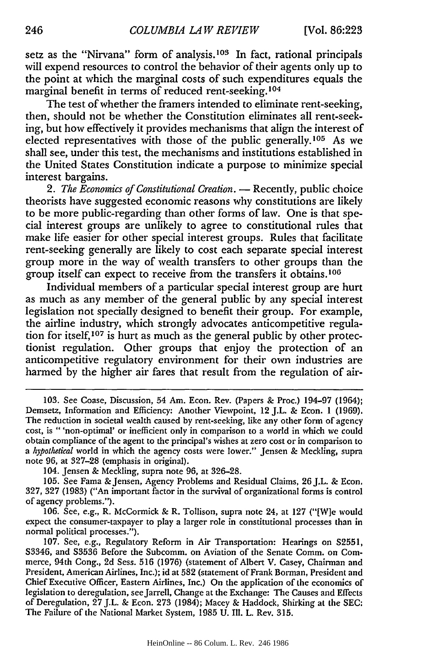setz as the "Nirvana" form of analysis.<sup>103</sup> In fact, rational principals will expend resources to control the behavior of their agents only up to the point at which the marginal costs of such expenditures equals the marginal benefit in terms of reduced rent-seeking.<sup>104</sup>

The test of whether the framers intended to eliminate rent-seeking, then, should not be whether the Constitution eliminates all rent-seeking, but how effectively it provides mechanisms that align the interest of elected representatives with those of the public generally.<sup>105</sup> As we shall see, under this test, the mechanisms and institutions established in the United States Constitution indicate a purpose to minimize special interest bargains.

2. *The Economics of Constitutional Creation.* — Recently, public choice theorists have suggested economic reasons why constitutions are likely to be more public-regarding than other forms of law. One is that special interest groups are unlikely to agree to constitutional rules that make life easier for other special interest groups. Rules that facilitate rent-seeking generally are likely to cost each separate special interest group more in the way of wealth transfers to other groups than the group itself can expect to receive from the transfers it obtains.<sup>106</sup>

Individual members of a particular special interest group are hurt as much as any member of the general public by any special interest legislation not specially designed to benefit their group. For example, the airline industry, which strongly advocates anticompetitive regulation for itself,<sup>107</sup> is hurt as much as the general public by other protectionist regulation. Other groups that enjoy the protection of an anticompetitive regulatory environment for their own industries are harmed by the higher air fares that result from the regulation of air-

104. Jensen & Meckling, supra note 96, at 326-28.

105. See Fama & Jensen, Agency Problems and Residual Claims, 26 J.L. & Econ. 327, 327 (1983) ("An important factor in the survival of organizational forms is control of agency problems.").

106. See, e.g., R. McCormick & R. Tollison, supra note 24, at 127 ("[W]e would expect the consumer-taxpayer to play a larger role in constitutional processes than in normal political processes.").

107. See, e.g., Regulatory Reform in Air Transportation: Hearings on S2551, 53346, and S3536 Before the Subcomm. on Aviation of the Senate Comm. on Commerce, 94th Cong., 2d Sess. 516 (1976) (statement of Albert V. Casey, Chairman and President, American Airlines, Inc.); id at 582 (statement of Frank Borman, President and Chief Executive Officer, Eastern Airlines, Inc.) On the application of the economics of legislation to deregulation, seeJarrell, Change at the Exchange: The Causes and Effects of Deregulation, 27J.L. & Econ. 273 (1984); Macey & Haddock, Shirking at the SEC: The Failure of the National Market System, 1985 U. Ill. L. Rev. 315.

<sup>103.</sup> See Coase, Discussion, 54 Am. Econ. Rev. (Papers & Proc.) 194-97 (1964); Demsetz, Information and Efficiency: Another Viewpoint, 12 J.L. & Econ. 1 (1969). The reduction in societal wealth caused by rent-seeking, like any other form of agency cost, is "'non-optimal' or inefficient only in comparison to a world in which we could obtain compliance of the agent to the principal's wishes at zero cost or in comparison to *a hypothetical* world in which the agency costs were lower." Jensen & Meckling, supra note 96, at 327-28 (emphasis in original).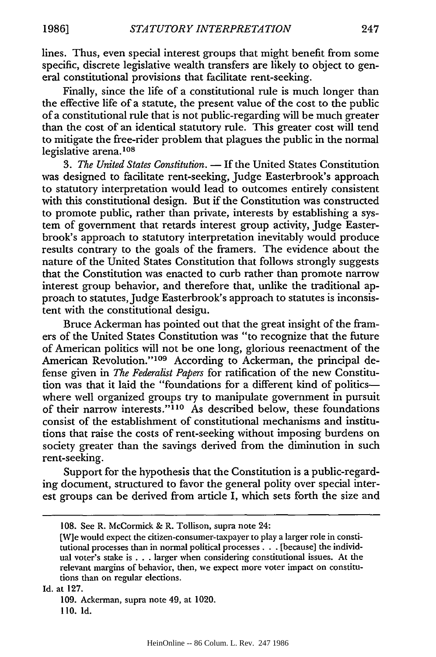lines. Thus, even special interest groups that might benefit from some specific, discrete legislative wealth transfers are likely to object to general constitutional provisions that facilitate rent-seeking.

Finally, since the life of a constitutional rule is much longer than the effective life of a statute, the present value of the cost to the public of a constitutional rule that is not public-regarding will be much greater than the cost of an identical statutory rule. This greater cost will tend to mitigate the free-rider problem that plagues the public in the normal legislative arena. **<sup>108</sup>**

3. The United States Constitution. - If the United States Constitution was designed to facilitate rent-seeking, Judge Easterbrook's approach to statutory interpretation would lead to outcomes entirely consistent with this constitutional design. But if the Constitution was constructed to promote public, rather than private, interests by establishing a system of government that retards interest group activity, Judge Easterbrook's approach to statutory interpretation inevitably would produce results contrary to the goals of the framers. The evidence about the nature of the United States Constitution that follows strongly suggests that the Constitution was enacted to curb rather than promote narrow interest group behavior, and therefore that, unlike the traditional approach to statutes, Judge Easterbrook's approach to statutes is inconsistent with the constitutional design.

Bruce Ackerman has pointed out that the great insight of the framers of the United States Constitution was "to recognize that the future of American politics will not be one long, glorious reenactment of the American Revolution."<sup>109</sup> According to Ackerman, the principal defense given in *The Federalist Papers* for ratification of the new Constitution was that it laid the "foundations for a different kind of politicswhere well organized groups try to manipulate government in pursuit of their narrow interests."<sup>110</sup> As described below, these foundations consist of the establishment of constitutional mechanisms and institutions that raise the costs of rent-seeking without imposing burdens on society greater than the savings derived from the diminution in such rent-seeking.

Support for the hypothesis that the Constitution is a public-regarding document, structured to favor the general polity over special interest groups can be derived from article I, which sets forth the size and

Id. at 127.

<sup>108.</sup> See R. McCormick & R. Tollison, supra note 24:

<sup>[</sup>W]e would expect the citizen-consumer-taxpayer to play a larger role in constitutional processes than in normal political processes **...** [because] the individual voter's stake is ... larger when considering constitutional issues. At the relevant margins of behavior, then, we expect more voter impact on constitutions than on regular elections.

<sup>109.</sup> Ackerman, supra note 49, at 1020. **110. Id.**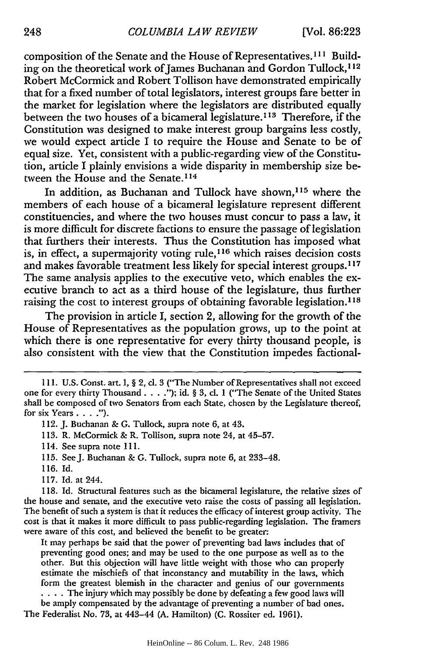composition of the Senate and the House of Representatives.<sup>111</sup> Building on the theoretical work of James Buchanan and Gordon Tullock,<sup>113</sup> Robert McCormick and Robert Tollison have demonstrated empirically that for a fixed number of total legislators, interest groups fare better in the market for legislation where the legislators are distributed equally between the two houses of a bicameral legislature.<sup>113</sup> Therefore, if the Constitution was designed to make interest group bargains less costly, we would expect article I to require the House and Senate to be of equal size. Yet, consistent with a public-regarding view of the Constitution, article I plainly envisions a wide disparity in membership size between the House and the Senate.<sup>114</sup>

In addition, as Buchanan and Tullock have shown,  $115$  where the members of each house of a bicameral legislature represent different constituencies, and where the two houses must concur to pass a law, it is more difficult for discrete factions to ensure the passage of legislation that furthers their interests. Thus the Constitution has imposed what is, in effect, a supermajority voting rule,<sup>116</sup> which raises decision costs and makes favorable treatment less likely for special interest groups.<sup>117</sup> The same analysis applies to the executive veto, which enables the executive branch to act as a third house of the legislature, thus further raising the cost to interest groups of obtaining favorable legislation.<sup>118</sup>

The provision in article I, section 2, allowing for the growth of the House of Representatives as the population grows, up to the point at which there is one representative for every thirty thousand people, is also consistent with the view that the Constitution impedes factional-

- 113. **R.** McCormick & R. Tollison, supra note 24, at **45-57.**
- 114. See supra note 111.
- **115.** SeeJ. Buchanan & G. Tullock, supra note 6, at 233-48.
- **116.** Id.

**117. Id.** at 244.

118. Id. Structural features such as the bicameral legislature, the relative sizes of the house and senate, and the executive veto raise the costs of passing all legislation. The benefit of such a system is that it reduces the efficacy of interest group activity. The cost is that it makes it more difficult to pass public-regarding legislation. The framers were aware of this cost, and believed the benefit to be greater:

It may perhaps be said that the power of preventing bad laws includes that of preventing good ones; and may be used to the one purpose as well as to the other. But this objection will have little weight with those who can properly estimate the mischiefs of that inconstancy and mutability in the laws, which form the greatest blemish in the character and genius of our governments **... .** The injury which may possibly be done by defeating a few good laws will be amply compensated by the advantage of preventing a number of bad ones. The Federalist No. 73, at 443-44 (A. Hamilton) (C. Rossiter ed. 1961).

248

**I** 11. U.S. Const. art. I, § 2, cl. 3 ("The Number of Representatives shall not exceed one for every thirty Thousand **.... ");** id. § 3, **cl. I** ("The Senate of the United States shall be composed of two Senators from each State, chosen by the Legislature thereof, for six Years **.... ").**

<sup>112.</sup> **J.** Buchanan & **G.** Tullock, supra note 6, at 43.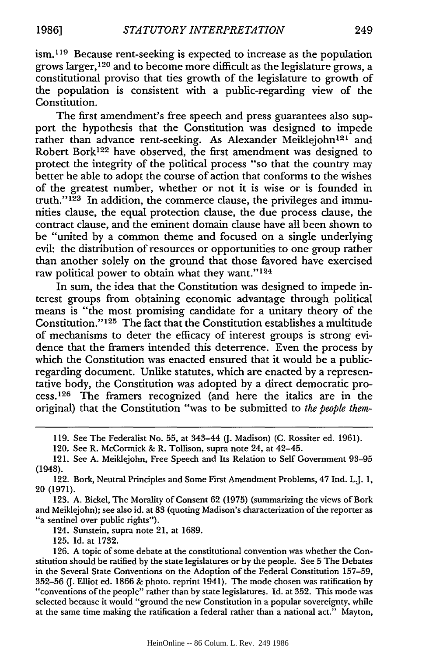ism.<sup>119</sup> Because rent-seeking is expected to increase as the population grows larger, 120 and to become more difficult as the legislature grows, a constitutional proviso that ties growth of the legislature to growth of the population is consistent with a public-regarding view of the Constitution.

The first amendment's free speech and press guarantees also support the hypothesis that the Constitution was designed to impede rather than advance rent-seeking. As Alexander Meiklejohn<sup>121</sup> and Robert Bork<sup>122</sup> have observed, the first amendment was designed to protect the integrity of the political process "so that the country may better be able to adopt the course of action that conforms to the wishes of the greatest number, whether or not it is wise or is founded in truth." $123$  In addition, the commerce clause, the privileges and immunities clause, the equal protection clause, the due process clause, the contract clause, and the eminent domain clause have all been shown to be "united by a common theme and focused on a single underlying evil: the distribution of resources or opportunities to one group rather than another solely on the ground that those favored have exercised raw political power to obtain what they want."<sup>124</sup>

In sum, the idea that the Constitution was designed to impede interest groups from obtaining economic advantage through political means is "the most promising candidate for a unitary theory of the Constitution."<sup>125</sup> The fact that the Constitution establishes a multitude of mechanisms to deter the efficacy of interest groups is strong evidence that the framers intended this deterrence. Even the process by which the Constitution was enacted ensured that it would be a publicregarding document. Unlike statutes, which are enacted by a representative body, the Constitution was adopted by a direct democratic process.<sup>126</sup> The framers recognized (and here the italics are in the original) that the Constitution "was to be submitted to *the people them-*

119. See The Federalist No. 55, at 343-44 **(J.** Madison) **(C.** Rossiter ed. 1961).

120. See R. McCormick & R. Tollison, supra note 24, at 42-45.

121. See A. Meiklejohn, Free Speech and Its Relation to Self Government 93-95 (1948).

122. Bork, Neutral Principles and Some First Amendment Problems, 47 Ind. LJ. **1,** 20 (1971).

123. A. Bickel, The Morality of Consent 62 (1975) (summarizing the views of Bork and Meiklejohn); see also id. at 83 (quoting Madison's characterization of the reporter as "a sentinel over public rights").

124. Sunstein, supra note 21, at 1689.

125. Id. at 1732.

126. A topic of some debate at the constitutional convention was whether the Constitution should be ratified by the state legislatures or by the people. See 5 The Debates in the Several State Conventions on the Adoption of the Federal Constitution 157-59, 352-56 **J.** Elliot ed. 1866 & photo. reprint 1941). The mode chosen was ratification by "conventions of the people" rather than by state legislatures. Id. at 352. This mode was selected because it would "ground the new Constitution in a popular sovereignty, while at the same time making the ratification a federal rather than a national act." Mayton,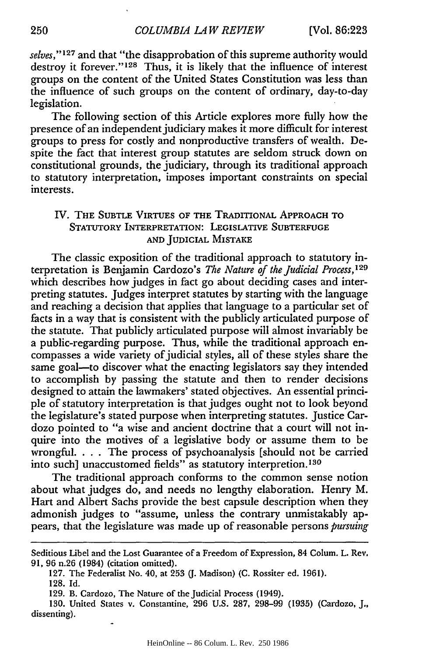*selves,"* **127** and that "the disapprobation of this supreme authority would destroy it forever."<sup>128</sup> Thus, it is likely that the influence of interest groups on the content of the United States Constitution was less than the influence of such groups on the content of ordinary, day-to-day legislation.

The following section of this Article explores more fully how the presence of an independent judiciary makes it more difficult for interest groups to press for costly and nonproductive transfers of wealth. Despite the fact that interest group statutes are seldom struck down on constitutional grounds, the judiciary, through its traditional approach to statutory interpretation, imposes important constraints on special interests.

## IV. THE **SUBTLE** VIRTUES OF THE TRADITIONAL APPROACH TO STATUTORY INTERPRETATION: LEGISLATIVE **SUBTERFUGE AND** JUDICIAL MISTAKE

The classic exposition of the traditional approach to statutory interpretation is Benjamin Cardozo's *The Nature of the Judicial Process,<sup>129</sup>* which describes how judges in fact go about deciding cases and interpreting statutes. Judges interpret statutes by starting with the language and reaching a decision that applies that language to a particular set of facts in a way that is consistent with the publicly articulated purpose of the statute. That publicly articulated purpose will almost invariably be a public-regarding purpose. Thus, while the traditional approach encompasses a wide variety of judicial styles, all of these styles share the same goal-to discover what the enacting legislators say they intended to accomplish by passing the statute and then to render decisions designed to attain the lawmakers' stated objectives. An essential principle of statutory interpretation is that judges ought not to look beyond the legislature's stated purpose when interpreting statutes. Justice Cardozo pointed to "a wise and ancient doctrine that a court will not inquire into the motives of a legislative body or assume them to be wrongful. . **.** . The process of psychoanalysis [should not be carried into such] unaccustomed fields" as statutory interpretion.<sup>130</sup>

The traditional approach conforms to the common sense notion about what judges do, and needs no lengthy elaboration. Henry M. Hart and Albert Sachs provide the best capsule description when they admonish judges to "assume, unless the contrary unmistakably appears, that the legislature was made up of reasonable persons *pursuing*

Seditious Libel and the Lost Guarantee of a Freedom of Expression, 84 Colum. L. Rev. **91,** 96 n.26 (1984) (citation omitted).

<sup>127.</sup> The Federalist No. 40, at 253 (J. Madison) (C. Rossiter ed. 1961).

<sup>128.</sup> Id.

<sup>129.</sup> B. Cardozo, The Nature of the Judicial Process (1949).

<sup>130.</sup> United States v. Constantine, 296 U.S. 287, 298-99 (1935) (Cardozo, J., dissenting).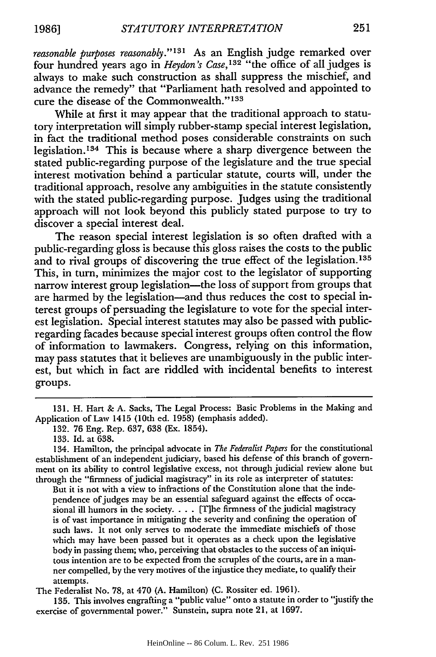*reasonable purposes reasonably."<sup>13</sup> <sup>1</sup>*As an English judge remarked over four hundred years ago in *Heydon's Case,132* "the office of all judges is always to make such construction as shall suppress the mischief, and advance the remedy" that "Parliament hath resolved and appointed to cure the disease of the Commonwealth."<sup>133</sup>

While at first it may appear that the traditional approach to statutory interpretation will simply rubber-stamp special interest legislation, in fact the traditional method poses considerable constraints on such legislation.<sup>134</sup> This is because where a sharp divergence between the stated public-regarding purpose of the legislature and the true special interest motivation behind a particular statute, courts will, under the traditional approach, resolve any ambiguities in the statute consistently with the stated public-regarding purpose. Judges using the traditional approach will not look beyond this publicly stated purpose to try to discover a special interest deal.

The reason special interest legislation is so often drafted with a public-regarding gloss is because this gloss raises the costs to the public and to rival groups of discovering the true effect of the legislation.<sup>135</sup> This, in turn, minimizes the major cost to the legislator of supporting narrow interest group legislation-the loss of support from groups that are harmed by the legislation-and thus reduces the cost to special interest groups of persuading the legislature to vote for the special interest legislation. Special interest statutes may also be passed with publicregarding facades because special interest groups often control the flow of information to lawmakers. Congress, relying on this information, may pass statutes that it believes are unambiguously in the public interest, but which in fact are riddled with incidental benefits to interest groups.

But it is not with a view to infractions of the Constitution alone that the independence of judges may be an essential safeguard against the effects of occasional ill humors in the society. . . . [T]he firmness of the judicial magistracy is of vast importance in mitigating the severity and confining the operation of such laws. It not only serves to moderate the immediate mischiefs of those which may have been passed but it operates as a check upon the legislative body in passing them; who, perceiving that obstacles to the success of an iniquitous intention are to be expected from the scruples of the courts, are in a manner compelled, by the very motives of the injustice they mediate, to qualify their attempts.

The Federalist No. 78, at 470 (A. Hamilton) (C. Rossiter ed. 1961).

135. This involves engrafting a "public value" onto a statute in order to "justify the exercise of governmental power." Sunstein, supra note 21, at 1697.

<sup>131.</sup> H. Hart & A. Sacks, The Legal Process: Basic Problems in the Making and Application of Law 1415 (10th ed. 1958) (emphasis added).

<sup>132. 76</sup> Eng. Rep. 637, **638** (Ex. 1854).

<sup>133.</sup> Id. at 638.

<sup>134.</sup> Hamilton, the principal advocate in *The Federalist Papers* for the constitutional establishment of an independent judiciary, based his defense of this branch of government on its ability to control legislative excess, not through judicial review alone but through the "firmness of judicial magistracy" in its role as interpreter of statutes: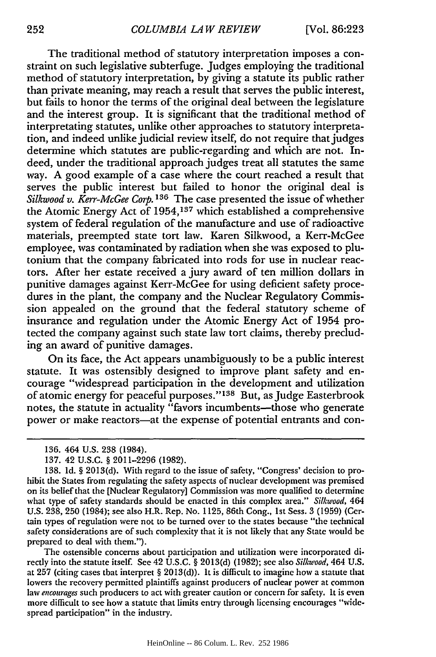The traditional method of statutory interpretation imposes a constraint on such legislative subterfuge. Judges employing the traditional method of statutory interpretation, by giving a statute its public rather than private meaning, may reach a result that serves the public interest, but fails to honor the terms of the original deal between the legislature and the interest group. It is significant that the traditional method of interpretating statutes, unlike other approaches to statutory interpretation, and indeed unlike judicial review itself, do not require that judges determine which statutes are public-regarding and which are not. Indeed, under the traditional approach judges treat all statutes the same way. A good example of a case where the court reached a result that serves the public interest but failed to honor the original deal is *Silkwood v. Kerr-McGee Corp.* **136** The case presented the issue of whether the Atomic Energy Act of 1954,137 which established a comprehensive system of federal regulation of the manufacture and use of radioactive materials, preempted state tort law. Karen Silkwood, a Kerr-McGee employee, was contaminated by radiation when she was exposed to plutonium that the company fabricated into rods for use in nuclear reactors. After her estate received a jury award of ten million dollars in punitive damages against Kerr-McGee for using deficient safety procedures in the plant, the company and the Nuclear Regulatory Commission appealed on the ground that the federal statutory scheme of insurance and regulation under the Atomic Energy Act of 1954 protected the company against such state law tort claims, thereby precluding an award of punitive damages.

On its face, the Act appears unambiguously to be a public interest statute. It was ostensibly designed to improve plant safety and encourage "widespread participation in the development and utilization of atomic energy for peaceful purposes."'138 But, as Judge Easterbrook notes, the statute in actuality "favors incumbents—those who generate power or make reactors-at the expense of potential entrants and con-

The ostensible concerns about participation and utilization were incorporated directly into the statute itself. See 42 U.S.C. § 2013(d) (1982); see also Silkwood, 464 U.S. at **257** (citing cases that interpret § 2013(d)). It is difficult to imagine how a statute that lowers the recovery permitted plaintiffs against producers of nuclear power at common law encourages such producers to act with greater caution or concern for safety. It is even more difficult to see how a statute that limits entry through licensing encourages "widespread participation" in the industry.

<sup>136. 464</sup> U.S. **238** (1984).

<sup>137. 42</sup> U.S.C. § 2011-2296 (1982).

<sup>138.</sup> Id. § 2013(d). With regard to the issue of safety, "Congress' decision to prohibit the States from regulating the safety aspects of nuclear development was premised on its belief that the [Nuclear Regulatory] Commission was more qualified to determine what type of safety standards should be enacted in this complex area." Silkwood, 464 U.S. 238, **250** (1984); see also H.R. Rep. No. 1125, 86th Cong., 1st Sess. 3 (1959) (Certain types of regulation were not to be turned over to the states because "the technical safety considerations are of such complexity that it is not likely that any State would be prepared to deal with them.").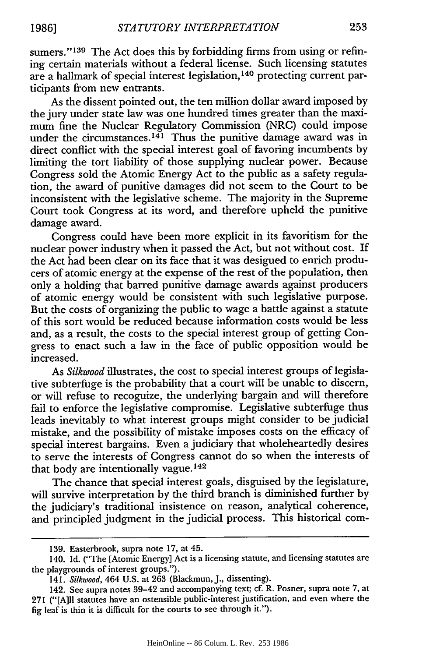sumers."<sup>139</sup> The Act does this by forbidding firms from using or refining certain materials without a federal license. Such licensing statutes are a hallmark of special interest legislation,<sup>140</sup> protecting current participants from new entrants.

As the dissent pointed out, the ten million dollar award imposed by the jury under state law was one hundred times greater than the maximum fine the Nuclear Regulatory Commission (NRC) could impose under the circumstances.<sup>141</sup> Thus the punitive damage award was in direct conflict with the special interest goal of favoring incumbents by limiting the tort liability of those supplying nuclear power. Because Congress sold the Atomic Energy Act to the public as a safety regulation, the award of punitive damages did not seem to the Court to be inconsistent with the legislative scheme. The majority in the Supreme Court took Congress at its word, and therefore upheld the punitive damage award.

Congress could have been more explicit in its favoritism for the nuclear power industry when it passed the Act, but not without cost. If the Act had been clear on its face that it was designed to enrich producers of atomic energy at the expense of the rest of the population, then only a holding that barred punitive damage awards against producers of atomic energy would be consistent with such legislative purpose. But the costs of organizing the public to wage a battle against a statute of this sort would be reduced because information costs would be less and, as a result, the costs to the special interest group of getting Congress to enact such a law in the face of public opposition would be increased.

As *Silkwood* illustrates, the cost to special interest groups of legislative subterfuge is the probability that a court will be unable to discern, or will refuse to recognize, the underlying bargain and will therefore fail to enforce the legislative compromise. Legislative subterfuge thus leads inevitably to what interest groups might consider to be judicial mistake, and the possibility of mistake imposes costs on the efficacy of special interest bargains. Even a judiciary that wholeheartedly desires to serve the interests of Congress cannot do so when the interests of that body are intentionally vague.<sup>142</sup>

The chance that special interest goals, disguised by the legislature, will survive interpretation by the third branch is diminished further by the judiciary's traditional insistence on reason, analytical coherence, and principled judgment in the judicial process. This historical com-

<sup>139.</sup> Easterbrook, supra note 17, at 45.

<sup>140.</sup> Id. ("The [Atomic Energy] Act is a licensing statute, and licensing statutes are the playgrounds of interest groups.").

<sup>141.</sup> Silkwood, 464 U.S. at 263 (Blackmun, J., dissenting).

<sup>142.</sup> See supra notes 39-42 and accompanying text; cf. R. Posner, supra note 7, at 271 **("[A]II** statutes have an ostensible public-interest justification, and even where the fig leaf is thin it is difficult for the courts to see through it.").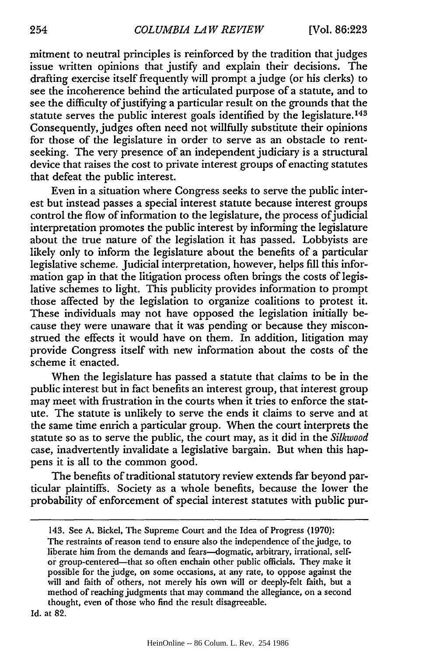mitment to neutral principles is reinforced by the tradition that judges issue written opinions that justify and explain their decisions. The drafting exercise itself frequently will prompt a judge (or his clerks) to see the incoherence behind the articulated purpose of a statute, and to see the difficulty of justifying a particular result on the grounds that the statute serves the public interest goals identified by the legislature.<sup>143</sup> Consequently, judges often need not willfully substitute their opinions for those of the legislature in order to serve as an obstacle to rentseeking. The very presence of an independent judiciary is a structural device that raises the cost to private interest groups of enacting statutes that defeat the public interest.

Even in a situation where Congress seeks to serve the public interest but instead passes a special interest statute because interest groups control the flow of information to the legislature, the process of judicial interpretation promotes the public interest by informing the legislature about the true nature of the legislation it has passed. Lobbyists are likely only to inform the legislature about the benefits of a particular legislative scheme. Judicial interpretation, however, helps fill this information gap in that the litigation process often brings the costs of legislative schemes to light. This publicity provides information to prompt those affected by the legislation to organize coalitions to protest it. These individuals may not have opposed the legislation initially because they were unaware that it was pending or because they misconstrued the effects it would have on them. In addition, litigation may provide Congress itself with new information about the costs of the scheme it enacted.

When the legislature has passed a statute that claims to be in the public interest but in fact benefits an interest group, that interest group may meet with frustration in the courts when it tries to enforce the statute. The statute is unlikely to serve the ends it claims to serve and at the same time enrich a particular group. When the court interprets the statute so as to serve the public, the court may, as it did in the *Silkwood* case, inadvertently invalidate a legislative bargain. But when this happens it is all to the common good.

The benefits of traditional statutory review extends far beyond particular plaintiffs. Society as a whole benefits, because the lower the probability of enforcement of special interest statutes with public pur-

<sup>143.</sup> See A. Bickel, The Supreme Court and the Idea of Progress (1970): The restraints of reason tend to ensure also the independence of the judge, to liberate him from the demands and fears-dogmatic, arbitrary, irrational, selfor group-centered-that so often enchain other public officials. They make it possible for the judge, on some occasions, at any rate, to oppose against the will and faith of others, not merely his own will or deeply-felt faith, but a method of reaching judgments that may command the allegiance, on a second thought, even of those who find the result disagreeable.

Id. at 82.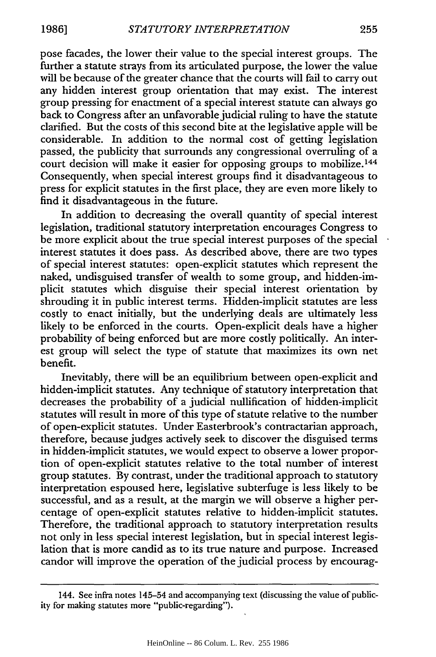pose facades, the lower their value to the special interest groups. The further a statute strays from its articulated purpose, the lower the value will be because of the greater chance that the courts will fail to carry out any hidden interest group orientation that may exist. The interest group pressing for enactment of a special interest statute can always go back to Congress after an unfavorable judicial ruling to have the statute clarified. But the costs of this second bite at the legislative apple will be considerable. In addition to the normal cost of getting legislation passed, the publicity that surrounds any congressional overruling of a court decision will make it easier for opposing groups to mobilize.<sup>144</sup> Consequently, when special interest groups find it disadvantageous to press for explicit statutes in the first place, they are even more likely to find it disadvantageous in the future.

In addition to decreasing the overall quantity of special interest legislation, traditional statutory interpretation encourages Congress to be more explicit about the true special interest purposes of the special interest statutes it does pass. As described above, there are two types of special interest statutes: open-explicit statutes which represent the naked, undisguised transfer of wealth to some group, and hidden-implicit statutes which disguise their special interest orientation by shrouding it in public interest terms. Hidden-implicit statutes are less costly to enact initially, but the underlying deals are ultimately less likely to be enforced in the courts. Open-explicit deals have a higher probability of being enforced but are more costly politically. An interest group will select the type of statute that maximizes its own net benefit.

Inevitably, there will be an equilibrium between open-explicit and hidden-implicit statutes. Any technique of statutory interpretation that decreases the probability of a judicial nullification of hidden-implicit statutes will result in more of this type of statute relative to the number of open-explicit statutes. Under Easterbrook's contractarian approach, therefore, because judges actively seek to discover the disguised terms in hidden-implicit statutes, we would expect to observe a lower proportion of open-explicit statutes relative to the total number of interest group statutes. By contrast, under the traditional approach to statutory interpretation espoused here, legislative subterfuge is less likely to be successful, and as a result, at the margin we will observe a higher percentage of open-explicit statutes relative to hidden-implicit statutes. Therefore, the traditional approach to statutory interpretation results not only in less special interest legislation, but in special interest legislation that is more candid as to its true nature and purpose. Increased candor will improve the operation of the judicial process by encourag-

<sup>144.</sup> See infra notes 145-54 and accompanying text (discussing the value of publicity for making statutes more "public-regarding").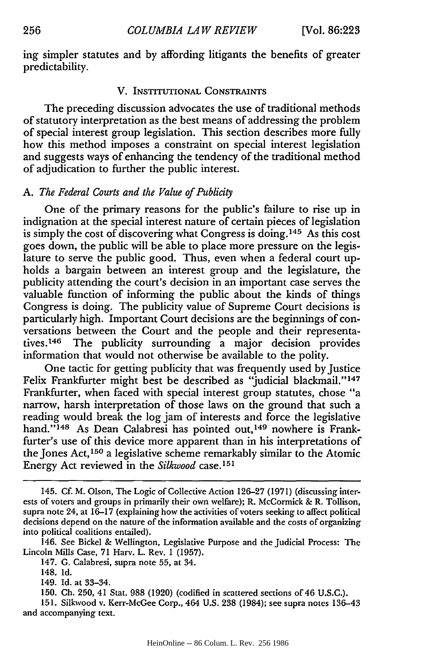ing simpler statutes and by affording litigants the benefits of greater predictability.

#### V. INSTITUTIONAL CONSTRAINTS

The preceding discussion advocates the use of traditional methods of statutory interpretation as the best means of addressing the problem of special interest group legislation. This section describes more fully how this method imposes a constraint on special interest legislation and suggests ways of enhancing the tendency of the traditional method of adjudication to further the public interest.

#### *A. The Federal Courts and the Value of Publicity*

One of the primary reasons for the public's failure to rise up in indignation at the special interest nature of certain pieces of legislation is simply the cost of discovering what Congress is doing. 145 As this cost goes down, the public will be able to place more pressure on the legislature to serve the public good. Thus, even when a federal court upholds a bargain between an interest group and the legislature, the publicity attending the court's decision in an important case serves the valuable function of informing the public about the kinds of things Congress is doing. The publicity value of Supreme Court decisions is particularly high. Important Court decisions are the beginnings of conversations between the Court and the people and their representatives. 146 The publicity surrounding a major decision provides information that would not otherwise be available to the polity.

One tactic for getting publicity that was frequently used by Justice Felix Frankfurter might best be described as 'judicial blackmail.' <sup>147</sup> Frankfurter, when faced with special interest group statutes, chose "a narrow, harsh interpretation of those laws on the ground that such a reading would break the log jam of interests and force the legislative hand."<sup>148</sup> As Dean Calabresi has pointed out,<sup>149</sup> nowhere is Frankfurter's use of this device more apparent than in his interpretations of the Jones Act,<sup>150</sup> a legislative scheme remarkably similar to the Atomic Energy Act reviewed in the Silkwood case.<sup>151</sup>

150. Ch. 250, 41 Stat. 988 (1920) (codified in scattered sections of 46 U.S.C.).

151. Silkwood v. Kerr-McGee Corp., 464 U.S. 238 (1984); see supra notes 136-43 and accompanying text.

<sup>145.</sup> Cf. M. Olson, The Logic of Collective Action 126-27 (1971) (discussing interests of voters and groups in primarily their own welfare); R. McCormick & R. Tollison, supra note 24, at 16-17 (explaining how the activities of voters seeking to affect political decisions depend on the nature of the information available and the costs of organizing into political coalitions entailed).

<sup>146.</sup> See Bickel & Wellington, Legislative Purpose and the Judicial Process: The Lincoln Mills Case, 71 Harv. L. Rev. 1 (1957).

<sup>147.</sup> **G.** Calabresi, supra note 55, at 34.

<sup>148.</sup> Id.

<sup>149.</sup> Id. at 33-34.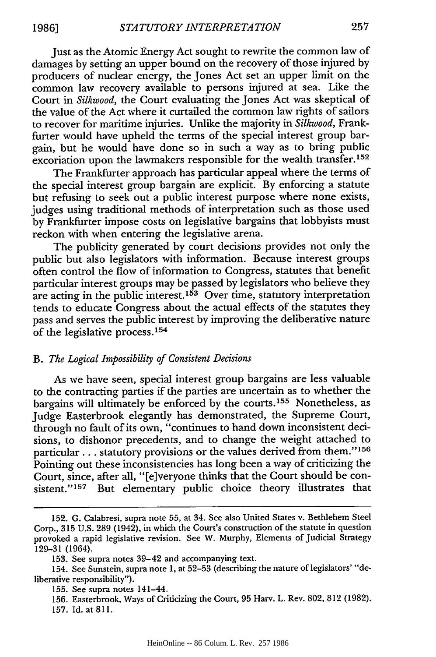Just as the Atomic Energy Act sought to rewrite the common law of damages by setting an upper bound on the recovery of those injured by producers of nuclear energy, the Jones Act set an upper limit on the common law recovery available to persons injured at sea. Like the Court in *Silkwood,* the Court evaluating the Jones Act was skeptical of the value of the Act where it curtailed the common law rights of sailors to recover for maritime injuries. Unlike the majority in *Silkwood,* Frankfurter would have upheld the terms of the special interest group bargain, but he would have done so in such a way as to bring public excoriation upon the lawmakers responsible for the wealth transfer.<sup>152</sup>

The Frankfurter approach has particular appeal where the terms of the special interest group bargain are explicit. By enforcing a statute but refusing to seek out a public interest purpose where none exists, judges using traditional methods of interpretation such as those used by Frankfurter impose costs on legislative bargains that lobbyists must reckon with when entering the legislative arena.

The publicity generated by court decisions provides not only the public but also legislators with information. Because interest groups often control the flow of information to Congress, statutes that benefit particular interest groups may be passed by legislators who believe they are acting in the public interest.<sup>153</sup> Over time, statutory interpretation tends to educate Congress about the actual effects of the statutes they pass and serves the public interest by improving the deliberative nature of the legislative process.<sup>154</sup>

#### *B. The Logical Impossibility of Consistent Decisions*

As we have seen, special interest group bargains are less valuable to the contracting parties if the parties are uncertain as to whether the bargains will ultimately be enforced by the courts.<sup>155</sup> Nonetheless, as Judge Easterbrook elegantly has demonstrated, the Supreme Court, through no fault of its own, "continues to hand down inconsistent decisions, to dishonor precedents, and to change the weight attached to particular . . . statutory provisions or the values derived from them."<sup>156</sup> Pointing out these inconsistencies has long been a way of criticizing the Court, since, after all, "[e]veryone thinks that the Court should be consistent."<sup>157</sup> But elementary public choice theory illustrates that

<sup>152.</sup> **G.** Calabresi, supra note 55, at 34. See also United States v. Bethlehem Steel Corp., 315 U.S. 289 (1942), in which the Court's construction of the statute in question provoked a rapid legislative revision. See W. Murphy, Elements of Judicial Strategy 129-31 (1964).

<sup>153.</sup> See supra notes 39-42 and accompanying text.

<sup>154.</sup> See Sunstein, supra note 1, at 52-53 (describing the nature of legislators' "deliberative responsibility").

<sup>155.</sup> See supra notes 141-44.

<sup>156.</sup> Easterbrook, Ways of Criticizing the Court, 95 Harv. L. Rev. 802, 812 (1982). 157. Id. at 811.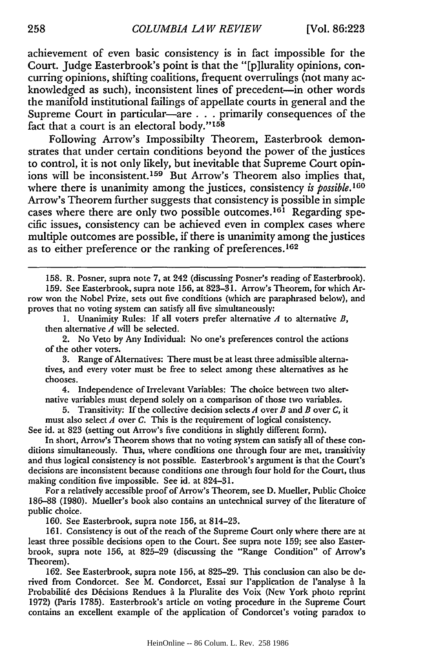achievement of even basic consistency is in fact impossible for the Court. Judge Easterbrook's point is that the "[p]lurality opinions, concurring opinions, shifting coalitions, frequent overrulings (not many acknowledged as such), inconsistent lines of precedent-in other words the manifold institutional failings of appellate courts in general and the Supreme Court in particular-are **. . .** primarily consequences of the fact that a court is an electoral **body."<sup>158</sup>**

Following Arrow's Impossibilty Theorem, Easterbrook demonstrates that under certain conditions beyond the power of the justices to control, it is not only likely, but inevitable that Supreme Court opinions will be inconsistent.<sup>159</sup> But Arrow's Theorem also implies that, where there is unanimity among the justices, consistency *is possible.160* Arrow's Theorem further suggests that consistency is possible in simple cases where there are only two possible outcomes. 161 Regarding specific issues, consistency can be achieved even in complex cases where multiple outcomes are possible, if there is unanimity among the justices as to either preference or the ranking of preferences. <sup>162</sup>

159. See Easterbrook, supra note 156, at 823-31. Arrow's Theorem, for which Arrow won the Nobel Prize, sets out five conditions (which are paraphrased below), and proves that no voting system can satisfy all five simultaneously:

1. Unanimity Rules: If all voters prefer alternative *A* to alternative *B,* then alternative *A* will be selected.

2. No Veto by Any Individual: No one's preferences control the actions of the other voters.

3. Range of Alternatives: There must be at least three admissible alternatives, and every voter must be free to select among these alternatives as he chooses.

4. Independence of Irrelevant Variables: The choice between two alternative variables must depend solely on a comparison of those two variables.

5. Transitivity: If the collective decision selects *A* over *B* and *B* over *C,* it must also select *A* over *C.* This is the requirement of logical consistency. See id. at **823** (setting out Arrow's five conditions in slightly different form).

In short, Arrow's Theorem shows that no voting system can satisfy all of these conditions simultaneously. Thus, where conditions one through four are met, transitivity and thus logical consistency is not possible. Easterbrook's argument is that the Court's decisions are inconsistent because conditions one through four hold for the Court, thus making condition five impossible. See id. at 824-31.

For a relatively accessible proof of Arrow's Theorem, see D. Mueller, Public Choice 186-88 (1980). Mueller's book also contains an untechnical survey of the literature of public choice.

160. See Easterbrook, supra note 156, at 814-23.

161. Consistency is out of the reach of the Supreme Court only where there are at least three possible decisions open to the Court. See supra note 159; see also Easterbrook, supra note 156, at 825-29 (discussing the "Range Condition" of Arrow's Theorem).

162. See Easterbrook, supra note 156, at 825-29. This conclusion can also be derived from Condorcet. See M. Condorcet, Essai sur l'application de l'analyse **A la** Probabilit6 des DEcisions Rendues **A la** Pluralite des Voix (New York photo reprint 1972) (Paris 1785). Easterbrook's article on voting procedure in the Supreme Court contains an excellent example of the application of Condorcet's voting paradox to

<sup>158.</sup> R. Posner, supra note 7, at 242 (discussing Posner's reading of Easterbrook).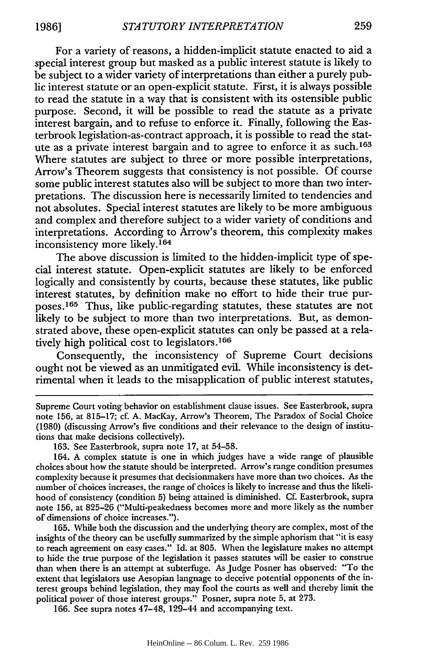For a variety of reasons, a hidden-implicit statute enacted to aid a special interest group but masked as a public interest statute is likely to be subject to a wider variety of interpretations than either a purely public interest statute or an open-explicit statute. First, it is always possible to read the statute in a way that is consistent with its ostensible public purpose. Second, it will be possible to read the statute as a private interest bargain, and to refuse to enforce it. Finally, following the Easterbrook legislation-as-contract approach, it is possible to read the statute as a private interest bargain and to agree to enforce it as such. <sup>163</sup> Where statutes are subject to three or more possible interpretations, Arrow's Theorem suggests that consistency is not possible. Of course some public interest statutes also will be subject to more than two interpretations. The discussion here is necessarily limited to tendencies and not absolutes. Special interest statutes are likely to be more ambiguous and complex and therefore subject to a wider variety of conditions and interpretations. According to Arrow's theorem, this complexity makes inconsistency more likely. <sup>164</sup>

The above discussion is limited to the hidden-implicit type of special interest statute. Open-explicit statutes are likely to be enforced logically and consistently by courts, because these statutes, like public interest statutes, by definition make no effort to hide their true purposes. 165 Thus, like public-regarding statutes, these statutes are not likely to be subject to more than two interpretations. But, as demonstrated above, these open-explicit statutes can only be passed at a relatively high political cost to legislators.<sup>166</sup>

Consequently, the inconsistency of Supreme Court decisions ought not be viewed as an unmitigated evil. While inconsistency is detrimental when it leads to the misapplication of public interest statutes,

Supreme Court voting behavior on establishment clause issues. See Easterbrook, supra note 156, at 815-17; cE. A. MacKay, Arrow's Theorem, The Paradox of Social Choice (1980) (discussing Arrow's five conditions and their relevance to the design of institutions that make decisions collectively).

163. See Easterbrook, supra note 17, at 54-58.

164. A complex statute is one in which judges have a wide range of plausible choices about how the statute should be interpreted. Arrow's range condition presumes complexity because it presumes that decisionmakers have more than two choices. As the number of choices increases, the range of choices is likely to increase and thus the likelihood of consistency (condition 5) being attained is diminished. Cf. Easterbrook, supra note 156, at 825-26 ("Multi-peakedness becomes more and more likely as the number of dimensions of choice increases.").

165. While both the discussion and the underlying theory are complex, most of the insights of the theory can be usefully summarized by the simple aphorism that "it is easy to reach agreement on easy cases." Id. at 805. When the legislature makes no attempt to hide the true purpose of the legislation it passes statutes will be easier to construe than when there is an attempt at subterfuge. As Judge Posner has observed: "To the extent that legislators use Aesopian langnage to deceive potential opponents of the interest groups behind legislation, they may fool the courts as well and thereby limit the political power of those interest groups." Posner, supra note 5, at 273.

166. See supra notes 47-48, 129-44 and accompanying text.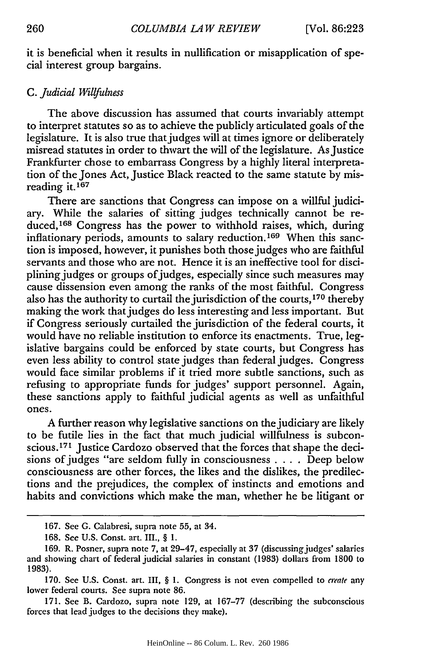it is beneficial when it results in nullification or misapplication of special interest group bargains.

#### *C. Judicial Willfulness*

The above discussion has assumed that courts invariably attempt to interpret statutes so as to achieve the publicly articulated goals of the legislature. It is also true that judges will at times ignore or deliberately misread statutes in order to thwart the will of the legislature. As Justice Frankfurter chose to embarrass Congress by a highly literal interpretation of the Jones Act, Justice Black reacted to the same statute by misreading it.<sup>167</sup>

There are sanctions that Congress can impose on a willful judiciary. While the salaries of sitting judges technically cannot be reduced,<sup>168</sup> Congress has the power to withhold raises, which, during inflationary periods, amounts to salary reduction. 169 When this sanction is imposed, however, it punishes both those judges who are faithful servants and those who are not. Hence it is an ineffective tool for disciplining judges or groups of judges, especially since such measures may cause dissension even among the ranks of the most faithful. Congress also has the authority to curtail the jurisdiction of the courts,<sup>170</sup> thereby making the work that judges do less interesting and less important. But if Congress seriously curtailed the jurisdiction of the federal courts, it would have no reliable institution to enforce its enactments. True, legislative bargains could be enforced by state courts, but Congress has even less ability to control state judges than federal judges. Congress would face similar problems if it tried more subtle sanctions, such as refusing to appropriate funds for judges' support personnel. Again, these sanctions apply to faithful judicial agents as well as unfaithful ones.

A further reason why legislative sanctions on the judiciary are likely to be futile lies in the fact that much judicial willfulness is subconscious.<sup>171</sup> Justice Cardozo observed that the forces that shape the decisions of judges "are seldom fully in consciousness . **. .** . Deep below consciousness are other forces, the likes and the dislikes, the predilections and the prejudices, the complex of instincts and emotions and habits and convictions which make the man, whether he be litigant or

<sup>167.</sup> See **G.** Calabresi, supra note 55, at 34.

<sup>168.</sup> See U.S. Const. art. III., § 1.

<sup>169.</sup> R. Posner, supra note 7, at 29-47, especially at 37 (discussing judges' salaries and showing chart of federal judicial salaries in constant (1983) dollars from **1800** to 1983).

<sup>170.</sup> See U.S. Const. art. III, § 1. Congress is not even compelled to create any lower federal courts. See supra note 86.

<sup>171.</sup> See B. Cardozo, supra note 129, at 167-77 (describing the subconscious forces that lead judges to the decisions they make).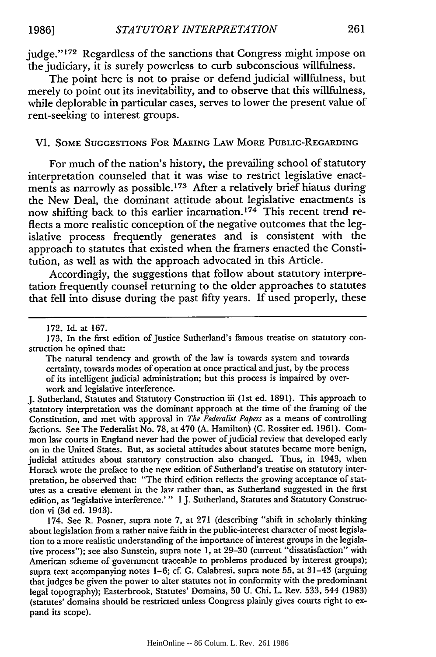judge."<sup>172</sup> Regardless of the sanctions that Congress might impose on the judiciary, it is surely powerless to curb subconscious willfulness.

The point here is not to praise or defend judicial willfulness, but merely to point out its inevitability, and to observe that this willfulness, while deplorable in particular cases, serves to lower the present value of rent-seeking to interest groups.

#### VI. **SOME** SUGGESTIONS FOR MAKING LAW MORE PUBLIC-REGARDING

For much of the nation's history, the prevailing school of statutory interpretation counseled that it was wise to restrict legislative enactments as narrowly as possible.<sup>173</sup> After a relatively brief hiatus during the New Deal, the dominant attitude about legislative enactments is now shifting back to this earlier incarnation.<sup>174</sup> This recent trend reflects a more realistic conception of the negative outcomes that the legislative process frequently generates and is consistent with the approach to statutes that existed when the framers enacted the Constitution, as well as with the approach advocated in this Article.

Accordingly, the suggestions that follow about statutory interpretation frequently counsel returning to the older approaches to statutes that fell into disuse during the past fifty years. If used properly, these

J. Sutherland, Statutes and Statutory Construction iii (1st ed. 1891). This approach to statutory interpretation was the dominant approach at the time of the framing of the Constitution, and met with approval in *The Federalist Papers* as a means of controlling factions. See The Federalist No. 78, at 470 (A. Hamilton) (C. Rossiter ed. 1961). Common law courts in England never had the power ofjudicial review that developed early on in the United States. But, as societal attitudes about statutes became more benign, judicial attitudes about statutory construction also changed. Thus, in 1943, when Horack wrote the preface to the new edition of Sutherland's treatise on statutory interpretation, he observed that: "The third edition reflects the growing acceptance of statutes as a creative element in the law rather than, as Sutherland suggested in the first edition, as 'legislative interference.' " 1 J. Sutherland, Statutes and Statutory Construction vi (3d ed. 1943).

174. See R. Posner, supra note 7, at 271 (describing "shift in scholarly thinking about legislation from a rather naive faith in the public-interest character of most legislation to a more realistic understanding of the importance of interest groups in the legislative process"); see also Sunstein, supra note 1, at 29-30 (current "dissatisfaction" with American scheme of government traceable to problems produced by interest groups); supra text accompanying notes 1-6; cf. G. Calabresi, supra note 55, at 31-43 (arguing that judges be given the power to alter statutes not in conformity with the predominant legal topography); Easterbrook, Statutes' Domains, 50 U. Chi. L. Rev. 533, 544 (1983) (statutes' domains should be restricted unless Congress plainly gives courts right to expand its scope).

**<sup>172.</sup> Id.** at **167.**

**<sup>173.</sup>** In the first edition of Justice Sutherland's famous treatise on statutory construction he opined that:

The natural tendency and growth of the law is towards system and towards certainty, towards modes of operation at once practical and just, by the process of its intelligent judicial administration; but this process is impaired by overwork and legislative interference.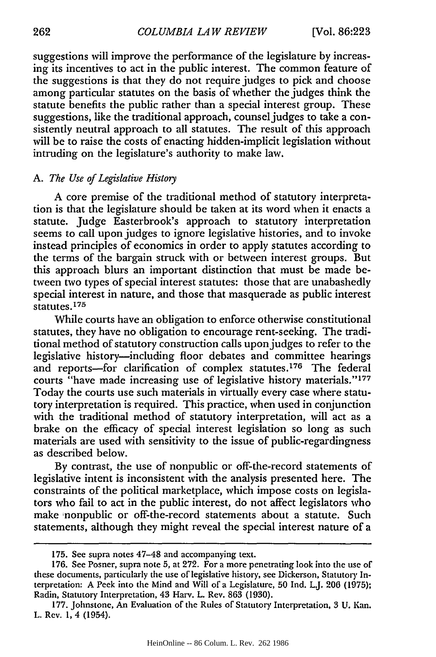suggestions will improve the performance of the legislature by increasing its incentives to act in the public interest. The common feature of the suggestions is that they do not require judges to pick and choose among particular statutes on the basis of whether the judges think the statute benefits the public rather than a special interest group. These suggestions, like the traditional approach, counsel judges to take a consistently neutral approach to all statutes. The result of this approach will be to raise the costs of enacting hidden-implicit legislation without intruding on the legislature's authority to make law.

#### *A. The Use of Legislative History*

A core premise of the traditional method of statutory interpretation is that the legislature should be taken at its word when it enacts a statute. Judge Easterbrook's approach to statutory interpretation seems to call upon judges to ignore legislative histories, and to invoke instead principles of economics in order to apply statutes according to the terms of the bargain struck with or between interest groups. But this approach blurs an important distinction that must be made between two types of special interest statutes: those that are unabashedly special interest in nature, and those that masquerade as public interest statutes.<sup>175</sup>

While courts have an obligation to enforce otherwise constitutional statutes, they have no obligation to encourage rent-seeking. The traditional method of statutory construction calls upon judges to refer to the legislative history-including floor debates and committee hearings and reports-for clarification of complex statutes.<sup>176</sup> The federal courts "have made increasing use of legislative history materials."<sup>177</sup> Today the courts use such materials in virtually every case where statutory interpretation is required. This practice, when used in conjunction with the traditional method of statutory interpretation, will act as a brake on the efficacy of special interest legislation so long as such materials are used with sensitivity to the issue of public-regardingness as described below.

By contrast, the use of nonpublic or off-the-record statements of legislative intent is inconsistent with the analysis presented here. The constraints of the political marketplace, which impose costs on legislators who fail to act in the public interest, do not affect legislators who make nonpublic or off-the-record statements about a statute. Such statements, although they might reveal the special interest nature of a

262

<sup>175.</sup> See supra notes 47-48 and accompanying text.

**<sup>176.</sup>** See Posner, supra note **5,** at **272.** For a more penetrating look into the use of these documents, particularly the use of legislative history, see Dickerson, Statutory Interpretation: A Peek into the Mind and Will of a Legislature, 50 Ind. LJ. 206 (1975); Radin, Statutory Interpretation, 43 Harv. L. Rev. 863 (1930).

<sup>177.</sup> Johnstone, An Evaluation of the Rules of Statutory Interpretation, 3 U. Kan. L. Rev. 1, 4 (1954).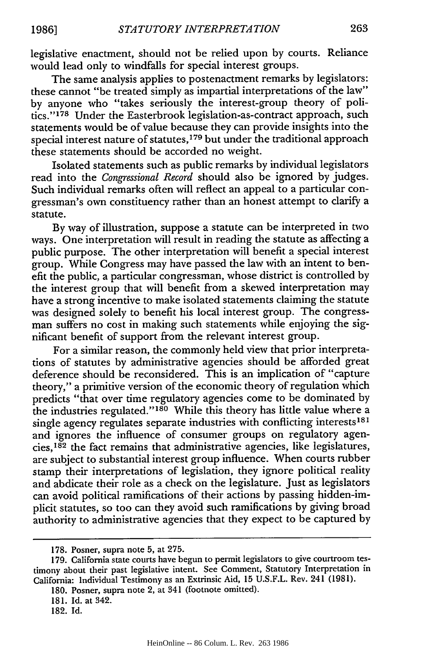legislative enactment, should not be relied upon by courts. Reliance would lead only to windfalls for special interest groups.

The same analysis applies to postenactment remarks by legislators: these cannot "be treated simply as impartial interpretations of the law" by anyone who "takes seriously the interest-group theory of politics."<sup>178</sup> Under the Easterbrook legislation-as-contract approach, such statements would be of value because they can provide insights into the special interest nature of statutes,<sup>179</sup> but under the traditional approach these statements should be accorded no weight.

Isolated statements such as public remarks by individual legislators read into the *Congressional Record* should also be ignored by judges. Such individual remarks often will reflect an appeal to a particular congressman's own constituency rather than an honest attempt to clarify a statute.

By way of illustration, suppose a statute can be interpreted in two ways. One interpretation will result in reading the statute as affecting a public purpose. The other interpretation will benefit a special interest group. While Congress may have passed the law with an intent to benefit the public, a particular congressman, whose district is controlled by the interest group that will benefit from a skewed interpretation may have a strong incentive to make isolated statements claiming the statute was designed solely to benefit his local interest group. The congressman suffers no cost in making such statements while enjoying the significant benefit of support from the relevant interest group.

For a similar reason, the commonly held view that prior interpretations of statutes by administrative agencies should be afforded great deference should be reconsidered. This is an implication of "capture theory," a primitive version of the economic theory of regulation which predicts "that over time regulatory agencies come to be dominated by the industries regulated."<sup>180</sup> While this theory has little value where a single agency regulates separate industries with conflicting interests<sup>181</sup> and ignores the influence of consumer groups on regulatory agencies,<sup>182</sup> the fact remains that administrative agencies, like legislatures, are subject to substantial interest group influence. When courts rubber stamp their interpretations of legislation, they ignore political reality and abdicate their role as a check on the legislature. Just as legislators can avoid political ramifications of their actions by passing hidden-implicit statutes, so too can they avoid such ramifications by giving broad authority to administrative agencies that they expect to be captured by

<sup>178.</sup> Posner, supra note 5, at 275.

<sup>179.</sup> California state courts have begun to permit legislators to give courtroom testimony about their past legislative intent. See Comment, Statutory Interpretation in California: Individual Testimony as an Extrinsic Aid, 15 U.S.F.L. Rev. 241 (1981).

<sup>180.</sup> Posner, supra note 2, at 341 (footnote omitted).

<sup>181.</sup> Id. at 342.

<sup>182.</sup> Id.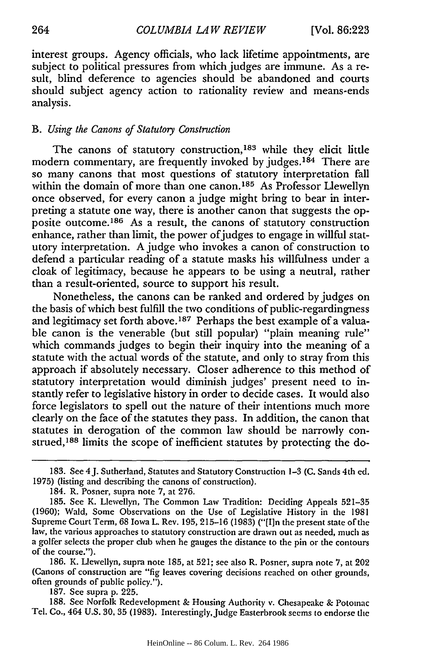interest groups. Agency officials, who lack lifetime appointments, are subject to political pressures from which judges are immune. As a result, blind deference to agencies should be abandoned and courts should subject agency action to rationality review and means-ends analysis.

#### *B. Using the Canons of Statutory Construction*

The canons of statutory construction,<sup>183</sup> while they elicit little modern commentary, are frequently invoked by judges.<sup>184</sup> There are so many canons that most questions of statutory interpretation fall within the domain of more than one canon.185 As Professor Llewellyn once observed, for every canon a judge might bring to bear in interpreting a statute one way, there is another canon that suggests the opposite outcome.<sup>186</sup> As a result, the canons of statutory construction enhance, rather than limit, the power of judges to engage in willful statutory interpretation. A judge who invokes a canon of construction to defend a particular reading of a statute masks his willfulness under a cloak of legitimacy, because he appears to be using a neutral, rather than a result-oriented, source to support his result.

Nonetheless, the canons can be ranked and ordered by judges on the basis of which best fulfill the two conditions of public-regardingness and legitimacy set forth above.<sup>187</sup> Perhaps the best example of a valuable canon is the venerable (but still popular) "plain meaning rule" which commands judges to begin their inquiry into the meaning of a statute with the actual words of the statute, and only to stray from this approach if absolutely necessary. Closer adherence to this method of statutory interpretation would diminish judges' present need to instantly refer to legislative history in order to decide cases. It would also force legislators to spell out the nature of their intentions much more clearly on the face of the statutes they pass. In addition, the canon that statutes in derogation of the common law should be narrowly construed,<sup>188</sup> limits the scope of inefficient statutes by protecting the do-

186. K. Llewellyn, supra note 185, at 521; see also R. Posner, supra note 7, at 202 (Canons of construction are "fig leaves covering decisions reached on other grounds, often grounds of public policy.").

187. See supra p. 225.

188. See Norfolk Redevelopment & Housing Authority v. Chesapeake & Potomac Tel. Co., 464 U.S. **30,** 35 (1983). Interestingly, Judge Easterbrook seems to endorsc the

<sup>183.</sup> See 4J. Sutherland, Statutes and Statutory Construction 1-3 (C. Sands 4th ed. 1975) (listing and describing the canons of construction).

<sup>184.</sup> R. Posner, supra note *7,* at 276.

<sup>185.</sup> See K. Llewellyn, The Common Law Tradition: Deciding Appeals 521-35 (1960); Wald, Some Observations on the Use of Legislative History in the 1981 Supreme Court Term, 68 Iowa L. Rev. 195, 215-16 (1983) ("[I]n the present state of the law, the various approaches to statutory construction are drawn out as needed, much as a golfer selects the proper club when he gauges the distance to the pin or the contours of the course.").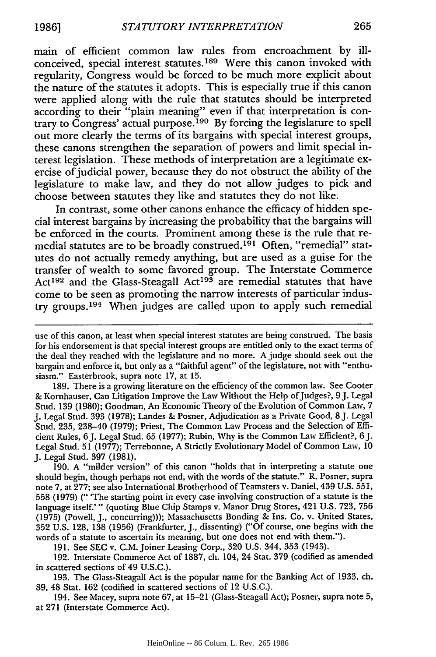main of efficient common law rules from encroachment by illconceived, special interest statutes.<sup>189</sup> Were this canon invoked with regularity, Congress would be forced to be much more explicit about the nature of the statutes it adopts. This is especially true if this canon were applied along with the rule that statutes should be interpreted according to their "plain meaning" even if that interpretation is contrary to Congress' actual purpose.<sup>190</sup> By forcing the legislature to spell out more clearly the terms of its bargains with special interest groups, these canons strengthen the separation of powers and limit special interest legislation. These methods of interpretation are a legitimate exercise of judicial power, because they do not obstruct the ability of the legislature to make law, and they do not allow judges to pick and choose between statutes they like and statutes they do not like.

In contrast, some other canons enhance the efficacy of hidden special interest bargains **by** increasing the probability that the bargains will be enforced in the courts. Prominent among these is the rule that remedial statutes are to be broadly construed.<sup>191</sup> Often, "remedial" statutes do not actually remedy anything, but are used as a guise for the transfer of wealth to some favored group. The Interstate Commerce Act<sup>192</sup> and the Glass-Steagall Act<sup>193</sup> are remedial statutes that have come to be seen as promoting the narrow interests of particular industry groups. 194 When judges are called upon to apply such remedial

189. There is a growing literature on the efficiency of the common law. See Cooter & Kornhauser, Can Litigation Improve the Law Without the Help ofJudges?, 9J. Legal Stud. 139 (1980); Goodman, An Economic Theory of the Evolution of Common Law, 7 J. Legal Stud. 393 (1978); Landes & Posner, Adjudication as a Private Good, 8J. Legal Stud. 235, 238-40 (1979); Priest, The Common Law Process and the Selection of Efficient Rules, 6J. Legal Stud. 65 (1977); Rubin, Why is the Common Law Efficient?, 6J. Legal Stud. 51 (1977); Terrebonne, A Strictly Evolutionary Model of Common Law, 10 J. Legal Stud. 397 (1981).

190. A "milder version" of this canon "holds that in interpreting a statute one should begin, though perhaps not end, with the words of the statute." R. Posner, supra note 7, at 277; see also International Brotherhood of Teamsters v. Daniel, 439 U.S. 551, 558 (1979) **("** 'The starting point in every case involving construction of a statute is the language itself.'" (quoting Blue Chip Stamps v. Manor Drug Stores, 421 U.S. 723, 756 (1975) (Powell, J., concurring))); Massachusetts Bonding & Ins. Co. v. United States, 352 U.S. 128, 138 (1956) (Frankfurter, J., dissenting) ("Of course, one begins with the words of a statute to ascertain its meaning, but one does not end with them.").

191. See SEC v. C.M. Joiner Leasing Corp., 320 U.S. 344, 353 (1943).

192. Interstate Commerce Act of 1887, ch. 104, 24 Stat. 379 (codified as amended in scattered sections of 49 U.S.C.).

193. The Glass-Steagall Act is the popular name for the Banking Act of 1933, ch. 89, 48 Stat. 162 (codified in scattered sections of 12 U.S.C.).

194. See Macey, supra note 67, at 15-21 (Glass-Steagall Act); Posner, supra note 5, at 271 (Interstate Commerce Act).

use of this canon, at least when special interest statutes are being construed. The basis for his endorsement is that special interest groups are entitled only to the exact terms of the deal they reached with the legislature and no more. A judge should seek out the bargain and enforce it, but only as a "faithful agent" of the legislature, not with "enthusiasm." Easterbrook, supra note 17, at 15.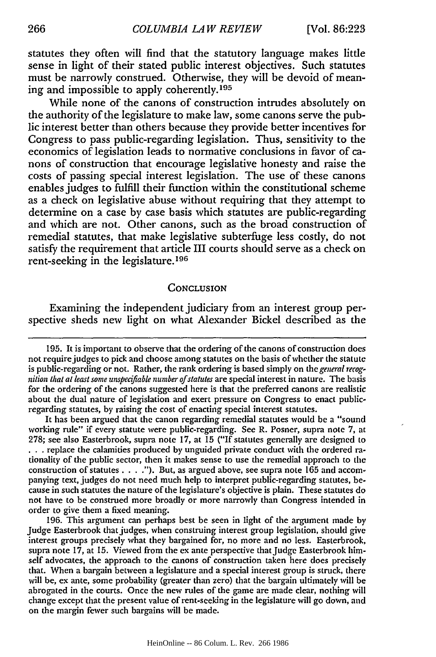statutes they often will find that the statutory language makes little sense in light of their stated public interest objectives. Such statutes must be narrowly construed. Otherwise, they will be devoid of meaning and impossible to apply coherently. <sup>195</sup>

While none of the canons of construction intrudes absolutely on the authority of the legislature to make law, some canons serve the public interest better than others because they provide better incentives for Congress to pass public-regarding legislation. Thus, sensitivity to the economics of legislation leads to normative conclusions in favor of canons of construction that encourage legislative honesty and raise the costs of passing special interest legislation. The use of these canons enables judges to fulfill their function within the constitutional scheme as a check on legislative abuse without requiring that they attempt to determine on a case by case basis which statutes are public-regarding and which are not. Other canons, such as the broad construction of remedial statutes, that make legislative subterfuge less costly, do not satisfy the requirement that article III courts should serve as a check on rent-seeking in the legislature.196

#### **CONCLUSION**

Examining the independent judiciary from an interest group perspective sheds new light on what Alexander Bickel described as the

It has been argued that the canon regarding remedial statutes would be a "sound working rule" if every statute were public-regarding. See R. Posner, supra note 7, at **278;** see also Easterbrook, supra note **17,** at 15 ("If statutes generally are designed to **...** replace the calamities produced by unguided private conduct with the ordered rationality of the public sector, then it makes sense to use the remedial approach to the construction of statutes **.... ").** But, as argued above, see supra note **165** and accompanying text, judges do not need much help to interpret public-regarding statutes, **be**cause in such statutes the nature of the legislature's objective is plain. These statutes do not have to be construed more broadly or more narrowly than Congress intended in order to give them a fixed meaning.

196. This argument can perhaps best be seen in light of the argument made by Judge Easterbrook that judges, when construing interest group legislation, should give interest groups precisely what they bargained for, no more and no less. Easterbrook, supra note 17, at 15. Viewed from the ex ante perspective that Judge Easterbrook himself advocates, the approach to the canons of construction taken here does precisely that. When a bargain between a legislature and a special interest group is struck, there will be, ex ante, some probability (greater than zero) that the bargain ultimately will be abrogated in the courts. Once the new rules of the game are made clear, nothing will change except that the present value of rent-seeking in the legislature will go down, and on the margin fewer such bargains will be made.

<sup>195.</sup> It is important to observe that the ordering of the canons of construction does not require judges to pick and choose among statutes on the basis of whether the statute is public-regarding or not. Rather, the rank ordering is based simply on the *general recognition that at least some unspecifiable number ofstatutes* are special interest in nature. The basis for the ordering of the canons suggested here is that the preferred canons are realistic about the dual nature of legislation and exert pressure on Congress to enact publicregarding statutes, by raising the cost of enacting special interest statutes.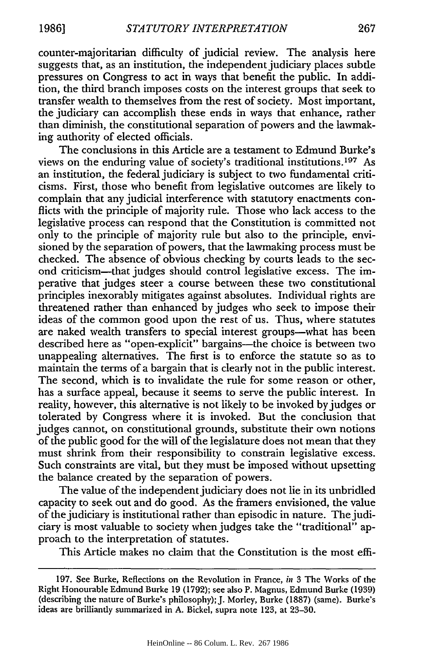counter-majoritarian difficulty of judicial review. The analysis here suggests that, as an institution, the independent judiciary places subtle pressures on Congress to act in ways that benefit the public. In addition, the third branch imposes costs on the interest groups that seek to transfer wealth to themselves from the rest of society. Most important, the judiciary can accomplish these ends in ways that enhance, rather than diminish, the constitutional separation of powers and the lawmaking authority of elected officials.

The conclusions in this Article are a testament to Edmund Burke's views on the enduring value of society's traditional institutions.<sup>197</sup> As an institution, the federal judiciary is subject to two fundamental criticisms. First, those who benefit from legislative outcomes are likely to complain that any judicial interference with statutory enactments conflicts with the principle of majority rule. Those who lack access to the legislative process can respond that the Constitution is committed not only to the principle of majority rule but also to the principle, envisioned by the separation of powers, that the lawmaking process must be checked. The absence of obvious checking by courts leads to the second criticism-that judges should control legislative excess. The imperative that judges steer a course between these two constitutional principles inexorably mitigates against absolutes. Individual rights are threatened rather than enhanced by judges who seek to impose their ideas of the common good upon the rest of us. Thus, where statutes are naked wealth transfers to special interest groups—what has been described here as "open-explicit" bargains—the choice is between two unappealing alternatives. The first is to enforce the statute so as to maintain the terms of a bargain that is clearly not in the public interest. The second, which is to invalidate the rule for some reason or other, has a surface appeal, because it seems to serve the public interest. In reality, however, this alternative is not likely to be invoked by judges or tolerated by Congress where it is invoked. But the conclusion that judges cannot, on constitutional grounds, substitute their own notions of the public good for the will of the legislature does not mean that they must shrink from their responsibility to constrain legislative excess. Such constraints are vital, but they must be imposed without upsetting the balance created by the separation of powers.

The value of the independent judiciary does not lie in its unbridled capacity to seek out and do good. As the framers envisioned, the value of the judiciary is institutional rather than episodic in nature. The judiciary is most valuable to society when judges take the "traditional" approach to the interpretation of statutes.

This Article makes no claim that the Constitution is the most effi-

<sup>197.</sup> See Burke, Reflections on the Revolution in France, in 3 The Works of the Right Honourable Edmund Burke 19 (1792); see also P. Magnus, Edmund Burke (1939) (describing the nature of Burke's philosophy); J. Morley, Burke (1887) (same). Burke's ideas are brilliantly summarized in A. Bickel, supra note 123, at 23-30.